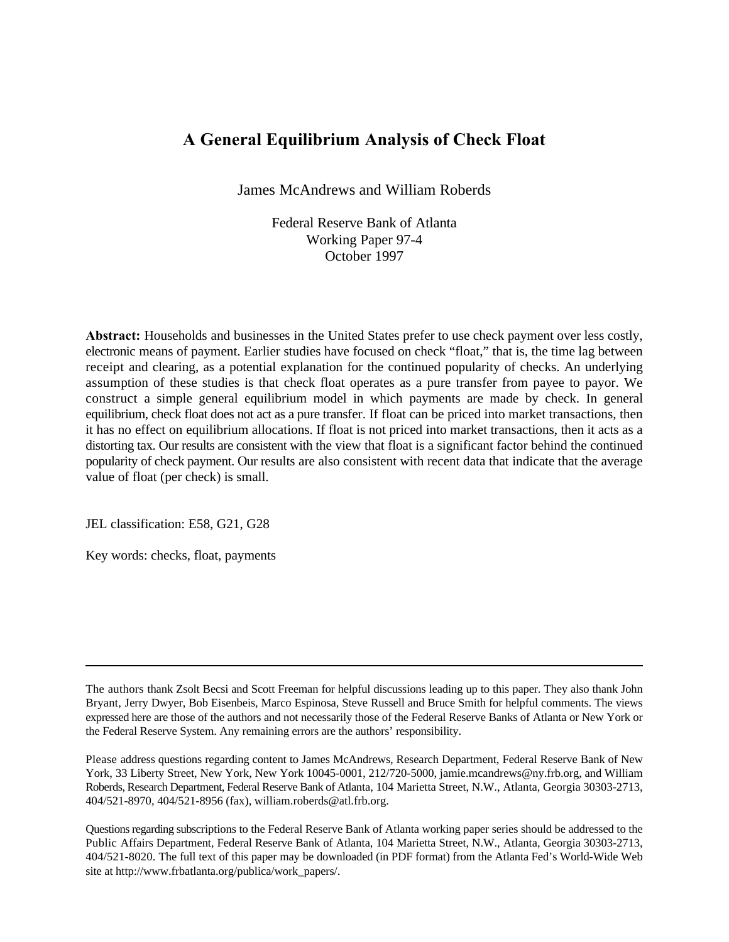# **A General Equilibrium Analysis of Check Float**

James McAndrews and William Roberds

Federal Reserve Bank of Atlanta Working Paper 97-4 October 1997

**Abstract:** Households and businesses in the United States prefer to use check payment over less costly, electronic means of payment. Earlier studies have focused on check "float," that is, the time lag between receipt and clearing, as a potential explanation for the continued popularity of checks. An underlying assumption of these studies is that check float operates as a pure transfer from payee to payor. We construct a simple general equilibrium model in which payments are made by check. In general equilibrium, check float does not act as a pure transfer. If float can be priced into market transactions, then it has no effect on equilibrium allocations. If float is not priced into market transactions, then it acts as a distorting tax. Our results are consistent with the view that float is a significant factor behind the continued popularity of check payment. Our results are also consistent with recent data that indicate that the average value of float (per check) is small.

JEL classification: E58, G21, G28

Key words: checks, float, payments

Please address questions regarding content to James McAndrews, Research Department, Federal Reserve Bank of New York, 33 Liberty Street, New York, New York 10045-0001, 212/720-5000, jamie.mcandrews@ny.frb.org, and William Roberds, Research Department, Federal Reserve Bank of Atlanta, 104 Marietta Street, N.W., Atlanta, Georgia 30303-2713, 404/521-8970, 404/521-8956 (fax), william.roberds@atl.frb.org.

Questions regarding subscriptions to the Federal Reserve Bank of Atlanta working paper series should be addressed to the Public Affairs Department, Federal Reserve Bank of Atlanta, 104 Marietta Street, N.W., Atlanta, Georgia 30303-2713, 404/521-8020. The full text of this paper may be downloaded (in PDF format) from the Atlanta Fed's World-Wide Web site at http://www.frbatlanta.org/publica/work\_papers/.

The authors thank Zsolt Becsi and Scott Freeman for helpful discussions leading up to this paper. They also thank John Bryant, Jerry Dwyer, Bob Eisenbeis, Marco Espinosa, Steve Russell and Bruce Smith for helpful comments. The views expressed here are those of the authors and not necessarily those of the Federal Reserve Banks of Atlanta or New York or the Federal Reserve System. Any remaining errors are the authors' responsibility.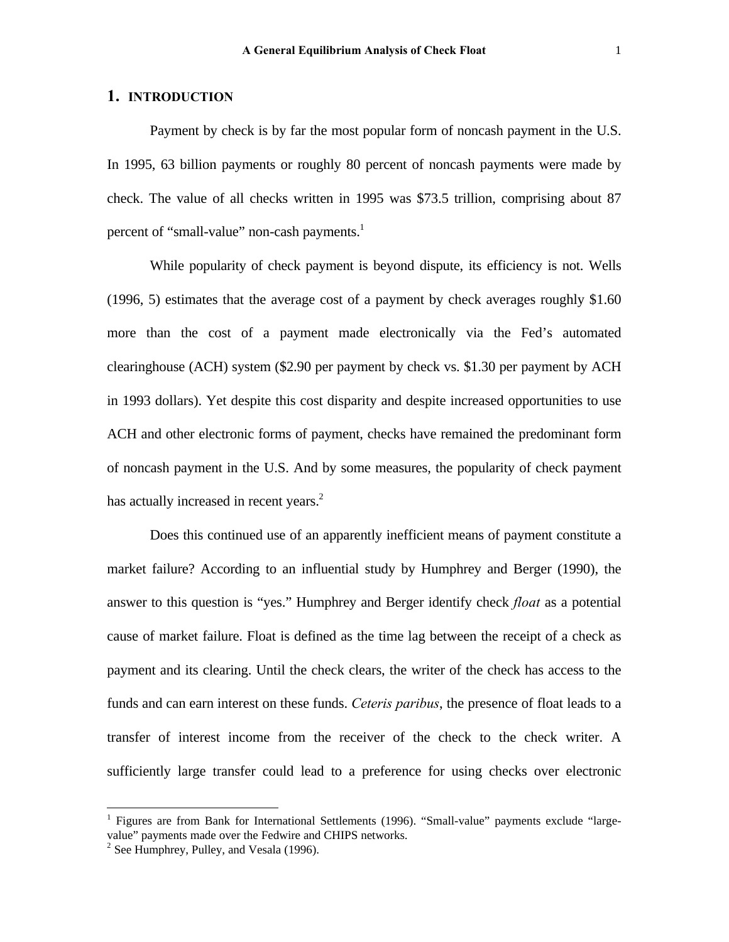#### **1. INTRODUCTION**

Payment by check is by far the most popular form of noncash payment in the U.S. In 1995, 63 billion payments or roughly 80 percent of noncash payments were made by check. The value of all checks written in 1995 was \$73.5 trillion, comprising about 87 percent of "small-value" non-cash payments.<sup>1</sup>

While popularity of check payment is beyond dispute, its efficiency is not. Wells (1996, 5) estimates that the average cost of a payment by check averages roughly \$1.60 more than the cost of a payment made electronically via the Fed's automated clearinghouse (ACH) system (\$2.90 per payment by check vs. \$1.30 per payment by ACH in 1993 dollars). Yet despite this cost disparity and despite increased opportunities to use ACH and other electronic forms of payment, checks have remained the predominant form of noncash payment in the U.S. And by some measures, the popularity of check payment has actually increased in recent years. $<sup>2</sup>$ </sup>

Does this continued use of an apparently inefficient means of payment constitute a market failure? According to an influential study by Humphrey and Berger (1990), the answer to this question is "yes." Humphrey and Berger identify check *float* as a potential cause of market failure. Float is defined as the time lag between the receipt of a check as payment and its clearing. Until the check clears, the writer of the check has access to the funds and can earn interest on these funds. *Ceteris paribus*, the presence of float leads to a transfer of interest income from the receiver of the check to the check writer. A sufficiently large transfer could lead to a preference for using checks over electronic

 $\overline{a}$ 

<sup>&</sup>lt;sup>1</sup> Figures are from Bank for International Settlements (1996). "Small-value" payments exclude "largevalue" payments made over the Fedwire and CHIPS networks.

 $2^2$  See Humphrey, Pulley, and Vesala (1996).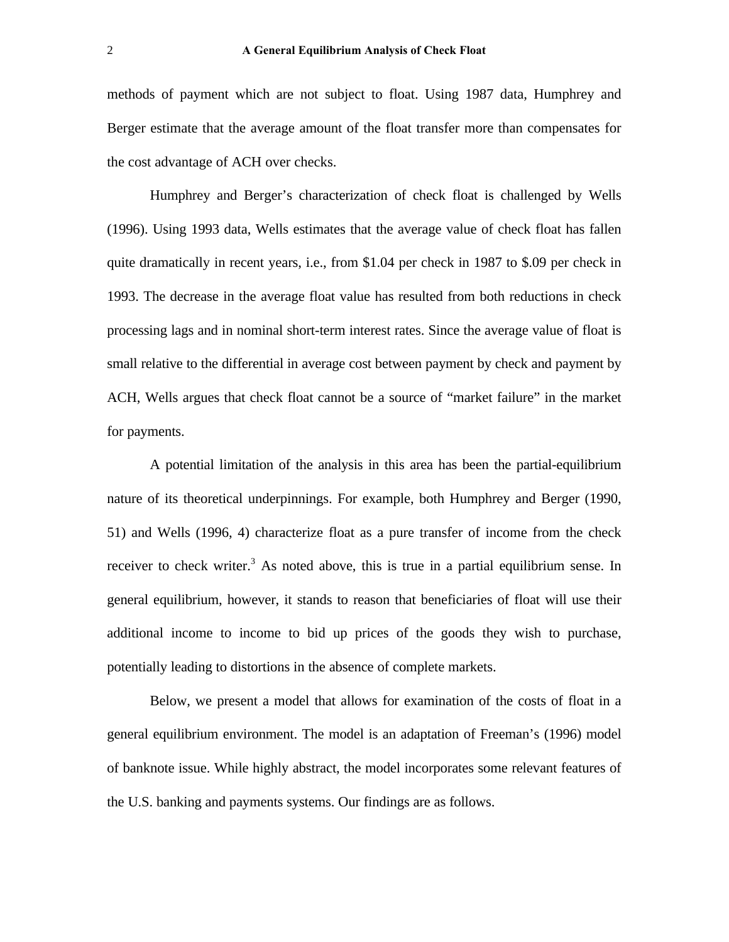methods of payment which are not subject to float. Using 1987 data, Humphrey and Berger estimate that the average amount of the float transfer more than compensates for the cost advantage of ACH over checks.

Humphrey and Berger's characterization of check float is challenged by Wells (1996). Using 1993 data, Wells estimates that the average value of check float has fallen quite dramatically in recent years, i.e., from \$1.04 per check in 1987 to \$.09 per check in 1993. The decrease in the average float value has resulted from both reductions in check processing lags and in nominal short-term interest rates. Since the average value of float is small relative to the differential in average cost between payment by check and payment by ACH, Wells argues that check float cannot be a source of "market failure" in the market for payments.

A potential limitation of the analysis in this area has been the partial-equilibrium nature of its theoretical underpinnings. For example, both Humphrey and Berger (1990, 51) and Wells (1996, 4) characterize float as a pure transfer of income from the check receiver to check writer.<sup>3</sup> As noted above, this is true in a partial equilibrium sense. In general equilibrium, however, it stands to reason that beneficiaries of float will use their additional income to income to bid up prices of the goods they wish to purchase, potentially leading to distortions in the absence of complete markets.

Below, we present a model that allows for examination of the costs of float in a general equilibrium environment. The model is an adaptation of Freeman's (1996) model of banknote issue. While highly abstract, the model incorporates some relevant features of the U.S. banking and payments systems. Our findings are as follows.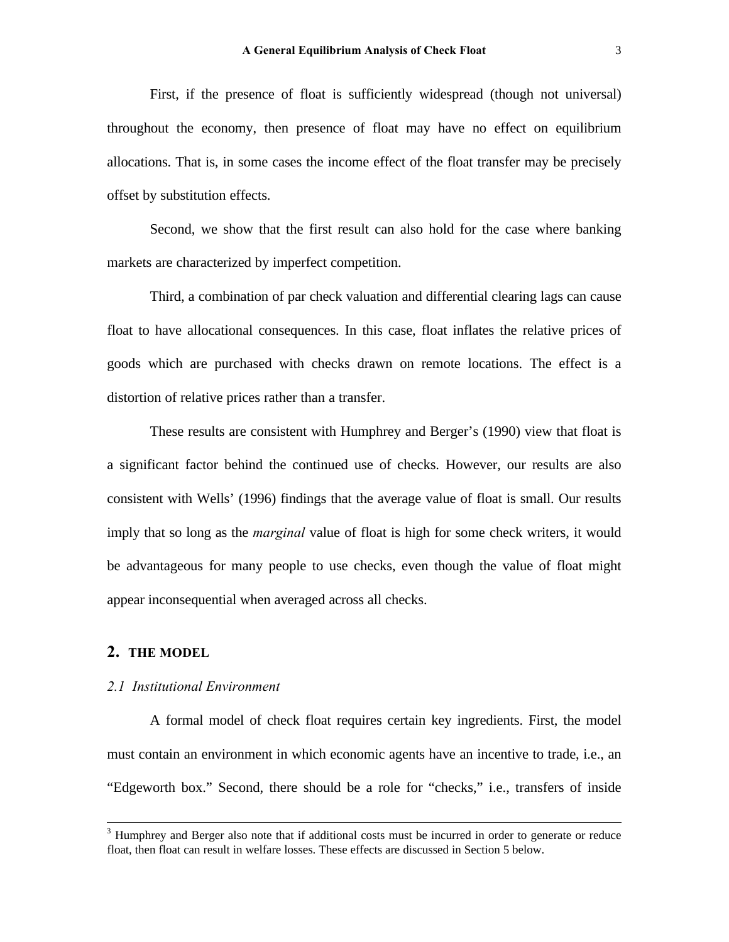First, if the presence of float is sufficiently widespread (though not universal) throughout the economy, then presence of float may have no effect on equilibrium allocations. That is, in some cases the income effect of the float transfer may be precisely offset by substitution effects.

Second, we show that the first result can also hold for the case where banking markets are characterized by imperfect competition.

Third, a combination of par check valuation and differential clearing lags can cause float to have allocational consequences. In this case, float inflates the relative prices of goods which are purchased with checks drawn on remote locations. The effect is a distortion of relative prices rather than a transfer.

These results are consistent with Humphrey and Berger's (1990) view that float is a significant factor behind the continued use of checks. However, our results are also consistent with Wells' (1996) findings that the average value of float is small. Our results imply that so long as the *marginal* value of float is high for some check writers, it would be advantageous for many people to use checks, even though the value of float might appear inconsequential when averaged across all checks.

#### **2. THE MODEL**

#### *2.1 Institutional Environment*

A formal model of check float requires certain key ingredients. First, the model must contain an environment in which economic agents have an incentive to trade, i.e., an "Edgeworth box." Second, there should be a role for "checks," i.e., transfers of inside

<sup>&</sup>lt;sup>3</sup> Humphrey and Berger also note that if additional costs must be incurred in order to generate or reduce float, then float can result in welfare losses. These effects are discussed in Section 5 below.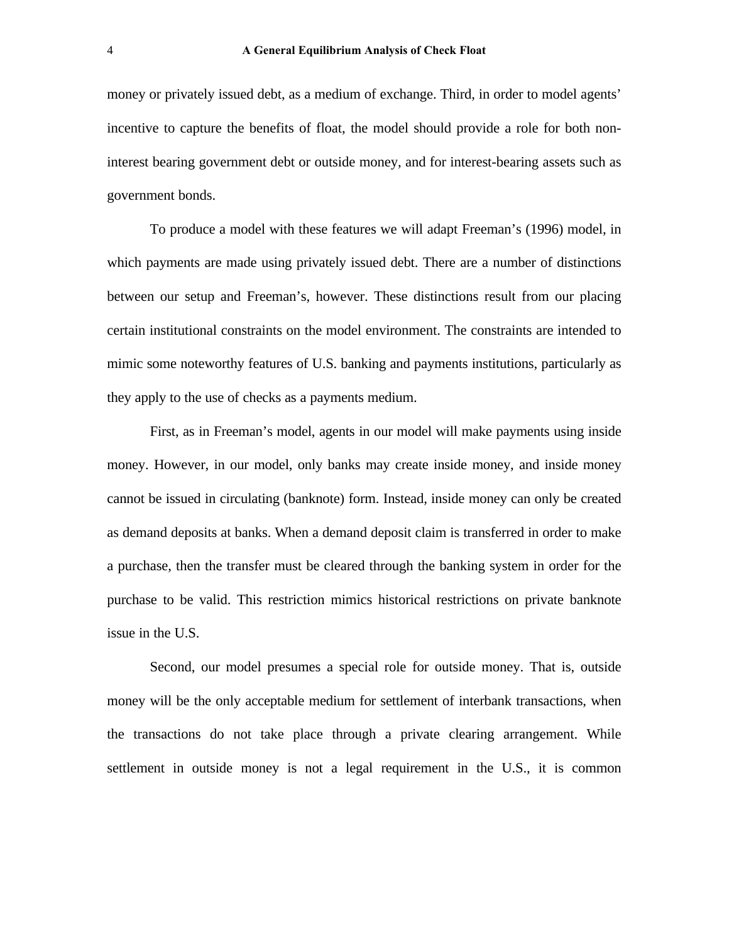money or privately issued debt, as a medium of exchange. Third, in order to model agents' incentive to capture the benefits of float, the model should provide a role for both noninterest bearing government debt or outside money, and for interest-bearing assets such as government bonds.

To produce a model with these features we will adapt Freeman's (1996) model, in which payments are made using privately issued debt. There are a number of distinctions between our setup and Freeman's, however. These distinctions result from our placing certain institutional constraints on the model environment. The constraints are intended to mimic some noteworthy features of U.S. banking and payments institutions, particularly as they apply to the use of checks as a payments medium.

First, as in Freeman's model, agents in our model will make payments using inside money. However, in our model, only banks may create inside money, and inside money cannot be issued in circulating (banknote) form. Instead, inside money can only be created as demand deposits at banks. When a demand deposit claim is transferred in order to make a purchase, then the transfer must be cleared through the banking system in order for the purchase to be valid. This restriction mimics historical restrictions on private banknote issue in the U.S.

Second, our model presumes a special role for outside money. That is, outside money will be the only acceptable medium for settlement of interbank transactions, when the transactions do not take place through a private clearing arrangement. While settlement in outside money is not a legal requirement in the U.S., it is common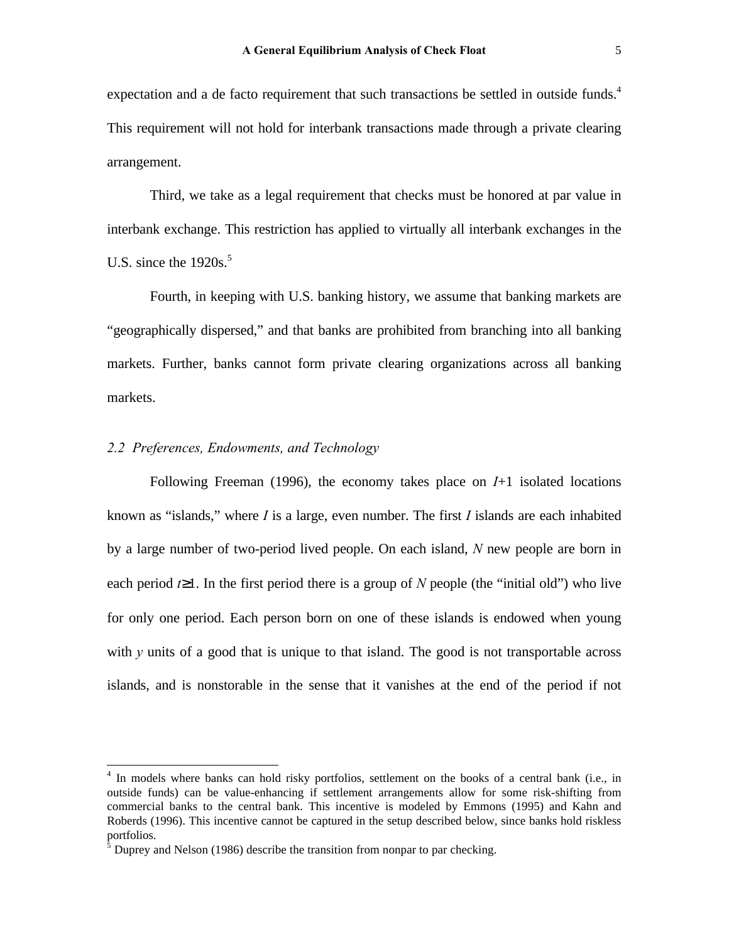expectation and a de facto requirement that such transactions be settled in outside funds.<sup>4</sup> This requirement will not hold for interbank transactions made through a private clearing arrangement.

Third, we take as a legal requirement that checks must be honored at par value in interbank exchange. This restriction has applied to virtually all interbank exchanges in the U.S. since the  $1920s<sup>5</sup>$ .

Fourth, in keeping with U.S. banking history, we assume that banking markets are "geographically dispersed," and that banks are prohibited from branching into all banking markets. Further, banks cannot form private clearing organizations across all banking markets.

### *2.2 Preferences, Endowments, and Technology*

 $\overline{a}$ 

Following Freeman (1996), the economy takes place on *I*+1 isolated locations known as "islands," where *I* is a large, even number. The first *I* islands are each inhabited by a large number of two-period lived people. On each island, *N* new people are born in each period  $t \geq 1$ . In the first period there is a group of *N* people (the "initial old") who live for only one period. Each person born on one of these islands is endowed when young with *y* units of a good that is unique to that island. The good is not transportable across islands, and is nonstorable in the sense that it vanishes at the end of the period if not

<sup>&</sup>lt;sup>4</sup> In models where banks can hold risky portfolios, settlement on the books of a central bank (i.e., in outside funds) can be value-enhancing if settlement arrangements allow for some risk-shifting from commercial banks to the central bank. This incentive is modeled by Emmons (1995) and Kahn and Roberds (1996). This incentive cannot be captured in the setup described below, since banks hold riskless portfolios.<br><sup>5</sup> Duprey and Nelson (1986) describe the transition from nonpar to par checking.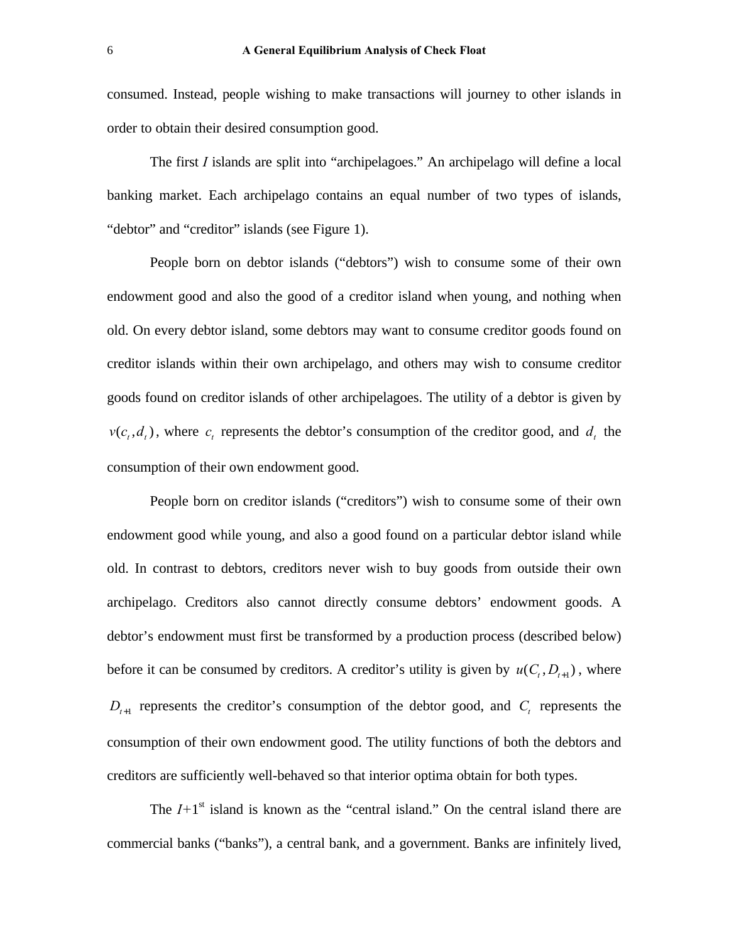consumed. Instead, people wishing to make transactions will journey to other islands in order to obtain their desired consumption good.

The first *I* islands are split into "archipelagoes." An archipelago will define a local banking market. Each archipelago contains an equal number of two types of islands, "debtor" and "creditor" islands (see Figure 1).

People born on debtor islands ("debtors") wish to consume some of their own endowment good and also the good of a creditor island when young, and nothing when old. On every debtor island, some debtors may want to consume creditor goods found on creditor islands within their own archipelago, and others may wish to consume creditor goods found on creditor islands of other archipelagoes. The utility of a debtor is given by  $v(c_t, d_t)$ , where  $c_t$  represents the debtor's consumption of the creditor good, and  $d_t$  the consumption of their own endowment good.

People born on creditor islands ("creditors") wish to consume some of their own endowment good while young, and also a good found on a particular debtor island while old. In contrast to debtors, creditors never wish to buy goods from outside their own archipelago. Creditors also cannot directly consume debtors' endowment goods. A debtor's endowment must first be transformed by a production process (described below) before it can be consumed by creditors. A creditor's utility is given by  $u(C_t, D_{t+1})$ , where  $D_{t+1}$  represents the creditor's consumption of the debtor good, and  $C_t$  represents the consumption of their own endowment good. The utility functions of both the debtors and creditors are sufficiently well-behaved so that interior optima obtain for both types.

The  $I+1$ <sup>st</sup> island is known as the "central island." On the central island there are commercial banks ("banks"), a central bank, and a government. Banks are infinitely lived,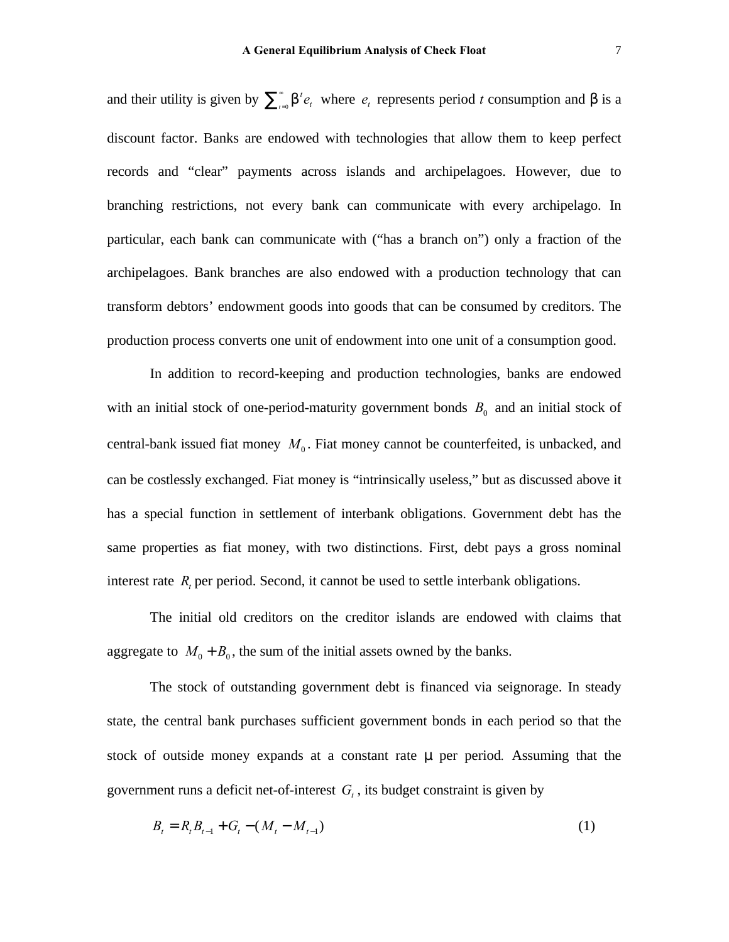and their utility is given by  $\sum_{i=0}^{\infty} b^i$  $\int_{t=0}^{\infty} \mathsf{b}^t \mathit{e}_t$  $\sum_{t=0}^{\infty} b^t e_t$  where  $e_t$  represents period *t* consumption and *b* is a discount factor. Banks are endowed with technologies that allow them to keep perfect records and "clear" payments across islands and archipelagoes. However, due to branching restrictions, not every bank can communicate with every archipelago. In particular, each bank can communicate with ("has a branch on") only a fraction of the archipelagoes. Bank branches are also endowed with a production technology that can transform debtors' endowment goods into goods that can be consumed by creditors. The production process converts one unit of endowment into one unit of a consumption good.

In addition to record-keeping and production technologies, banks are endowed with an initial stock of one-period-maturity government bonds  $B_0$  and an initial stock of central-bank issued fiat money  $M_0$ . Fiat money cannot be counterfeited, is unbacked, and can be costlessly exchanged. Fiat money is "intrinsically useless," but as discussed above it has a special function in settlement of interbank obligations. Government debt has the same properties as fiat money, with two distinctions. First, debt pays a gross nominal interest rate  $R<sub>t</sub>$  per period. Second, it cannot be used to settle interbank obligations.

The initial old creditors on the creditor islands are endowed with claims that aggregate to  $M_0 + B_0$ , the sum of the initial assets owned by the banks.

The stock of outstanding government debt is financed via seignorage. In steady state, the central bank purchases sufficient government bonds in each period so that the stock of outside money expands at a constant rate *m* per period*.* Assuming that the government runs a deficit net-of-interest  $G_t$ , its budget constraint is given by

$$
B_t = R_t B_{t-1} + G_t - (M_t - M_{t-1})
$$
\n(1)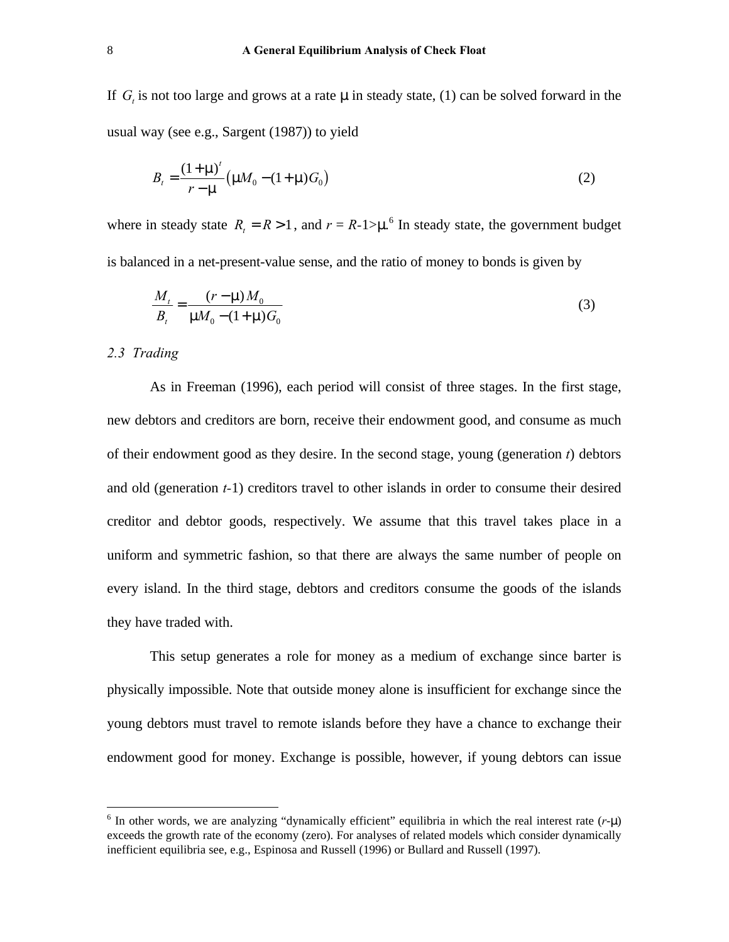If  $G_t$  is not too large and grows at a rate min steady state, (1) can be solved forward in the usual way (see e.g., Sargent (1987)) to yield

$$
B_{t} = \frac{(1+m)^{t}}{r-m} (mM_{0} - (1+m)G_{0})
$$
\n(2)

where in steady state  $R_t = R > 1$ , and  $r = R-1 > m^6$  In steady state, the government budget is balanced in a net-present-value sense, and the ratio of money to bonds is given by

$$
\frac{M_t}{B_t} = \frac{(r - m)M_0}{mM_0 - (1 + m)G_0}
$$
\n(3)

#### *2.3 Trading*

 $\overline{a}$ 

As in Freeman (1996), each period will consist of three stages. In the first stage, new debtors and creditors are born, receive their endowment good, and consume as much of their endowment good as they desire. In the second stage, young (generation *t*) debtors and old (generation *t-*1) creditors travel to other islands in order to consume their desired creditor and debtor goods, respectively. We assume that this travel takes place in a uniform and symmetric fashion, so that there are always the same number of people on every island. In the third stage, debtors and creditors consume the goods of the islands they have traded with.

This setup generates a role for money as a medium of exchange since barter is physically impossible. Note that outside money alone is insufficient for exchange since the young debtors must travel to remote islands before they have a chance to exchange their endowment good for money. Exchange is possible, however, if young debtors can issue

<sup>6</sup> In other words, we are analyzing "dynamically efficient" equilibria in which the real interest rate (*r*-*m*) exceeds the growth rate of the economy (zero). For analyses of related models which consider dynamically inefficient equilibria see, e.g., Espinosa and Russell (1996) or Bullard and Russell (1997).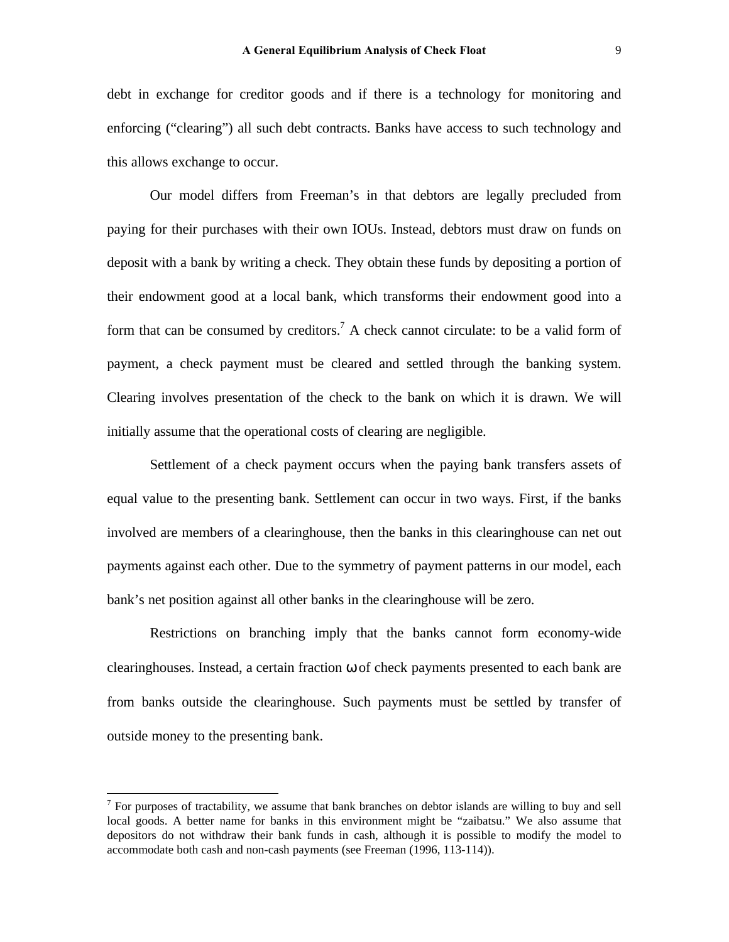debt in exchange for creditor goods and if there is a technology for monitoring and enforcing ("clearing") all such debt contracts. Banks have access to such technology and this allows exchange to occur.

Our model differs from Freeman's in that debtors are legally precluded from paying for their purchases with their own IOUs. Instead, debtors must draw on funds on deposit with a bank by writing a check. They obtain these funds by depositing a portion of their endowment good at a local bank, which transforms their endowment good into a form that can be consumed by creditors.<sup>7</sup> A check cannot circulate: to be a valid form of payment, a check payment must be cleared and settled through the banking system. Clearing involves presentation of the check to the bank on which it is drawn. We will initially assume that the operational costs of clearing are negligible.

Settlement of a check payment occurs when the paying bank transfers assets of equal value to the presenting bank. Settlement can occur in two ways. First, if the banks involved are members of a clearinghouse, then the banks in this clearinghouse can net out payments against each other. Due to the symmetry of payment patterns in our model, each bank's net position against all other banks in the clearinghouse will be zero.

Restrictions on branching imply that the banks cannot form economy-wide clearinghouses. Instead, a certain fraction *w* of check payments presented to each bank are from banks outside the clearinghouse. Such payments must be settled by transfer of outside money to the presenting bank.

 $\overline{a}$ 

 $<sup>7</sup>$  For purposes of tractability, we assume that bank branches on debtor islands are willing to buy and sell</sup> local goods. A better name for banks in this environment might be "zaibatsu." We also assume that depositors do not withdraw their bank funds in cash, although it is possible to modify the model to accommodate both cash and non-cash payments (see Freeman (1996, 113-114)).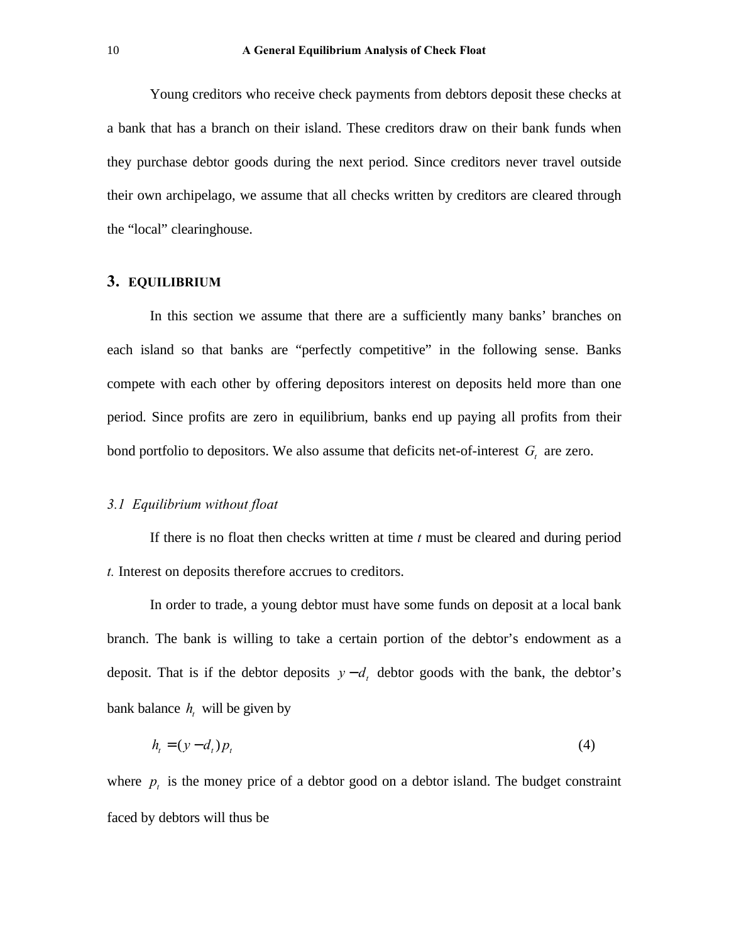Young creditors who receive check payments from debtors deposit these checks at a bank that has a branch on their island. These creditors draw on their bank funds when they purchase debtor goods during the next period. Since creditors never travel outside their own archipelago, we assume that all checks written by creditors are cleared through the "local" clearinghouse.

# **3. EQUILIBRIUM**

In this section we assume that there are a sufficiently many banks' branches on each island so that banks are "perfectly competitive" in the following sense. Banks compete with each other by offering depositors interest on deposits held more than one period. Since profits are zero in equilibrium, banks end up paying all profits from their bond portfolio to depositors. We also assume that deficits net-of-interest  $G_t$  are zero.

## *3.1 Equilibrium without float*

If there is no float then checks written at time *t* must be cleared and during period *t.* Interest on deposits therefore accrues to creditors.

In order to trade, a young debtor must have some funds on deposit at a local bank branch. The bank is willing to take a certain portion of the debtor's endowment as a deposit. That is if the debtor deposits  $y - d_t$  debtor goods with the bank, the debtor's bank balance  $h_t$  will be given by

$$
h_t = (y - d_t)p_t \tag{4}
$$

where  $p_t$  is the money price of a debtor good on a debtor island. The budget constraint faced by debtors will thus be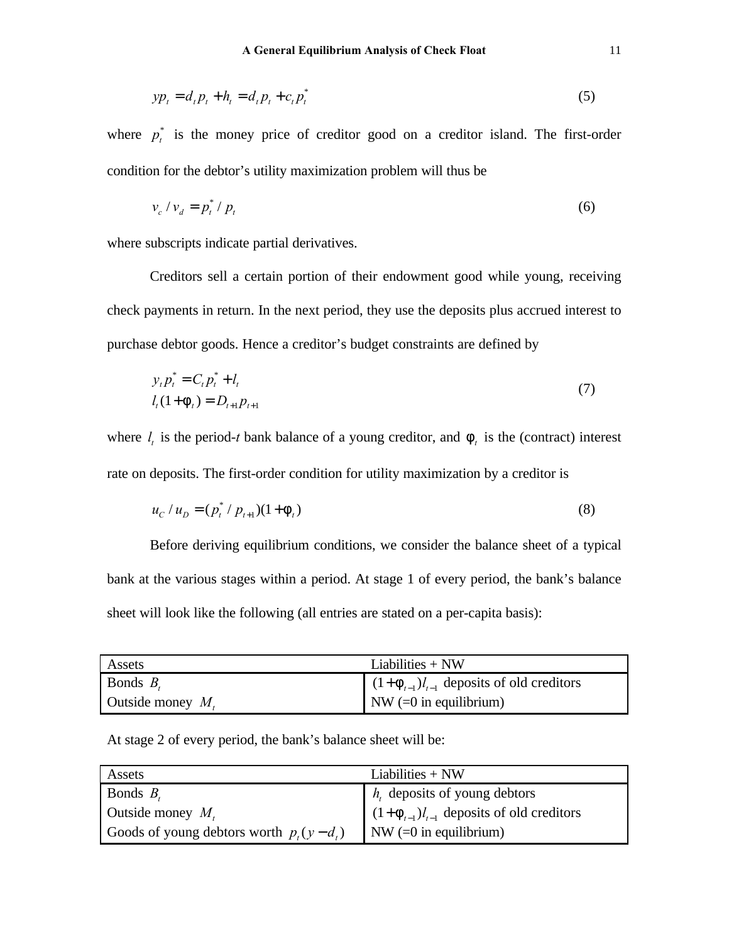$$
yp_t = d_t p_t + h_t = d_t p_t + c_t p_t^* \tag{5}
$$

where  $p_t^*$  is the money price of creditor good on a creditor island. The first-order condition for the debtor's utility maximization problem will thus be

$$
v_c / v_d = p_t^* / p_t \tag{6}
$$

where subscripts indicate partial derivatives.

Creditors sell a certain portion of their endowment good while young, receiving check payments in return. In the next period, they use the deposits plus accrued interest to purchase debtor goods. Hence a creditor's budget constraints are defined by

$$
y_t p_t^* = C_t p_t^* + l_t
$$
  
\n
$$
l_t (1 + f_t) = D_{t+1} p_{t+1}
$$
\n(7)

where  $l_t$  is the period-*t* bank balance of a young creditor, and  $f_t$  is the (contract) interest rate on deposits. The first-order condition for utility maximization by a creditor is

$$
u_c / u_D = (p_t^* / p_{t+1}) (1 + f_t)
$$
\n(8)

Before deriving equilibrium conditions, we consider the balance sheet of a typical bank at the various stages within a period. At stage 1 of every period, the bank's balance sheet will look like the following (all entries are stated on a per-capita basis):

| Assets               | Liabilities $+$ NW                             |
|----------------------|------------------------------------------------|
| Bonds $B_{\epsilon}$ | $(1+f_{t-1})l_{t-1}$ deposits of old creditors |
| Outside money $M_t$  | NW $(=0$ in equilibrium)                       |

At stage 2 of every period, the bank's balance sheet will be:

| Assets                                        | Liabilities $+$ NW                             |
|-----------------------------------------------|------------------------------------------------|
| Bonds $B_t$                                   | $h_{t}$ deposits of young debtors              |
| Outside money $M_t$                           | $(1+f_{t-1})l_{t-1}$ deposits of old creditors |
| Goods of young debtors worth $p_{i}(y-d_{i})$ | $\vert$ NW (=0 in equilibrium)                 |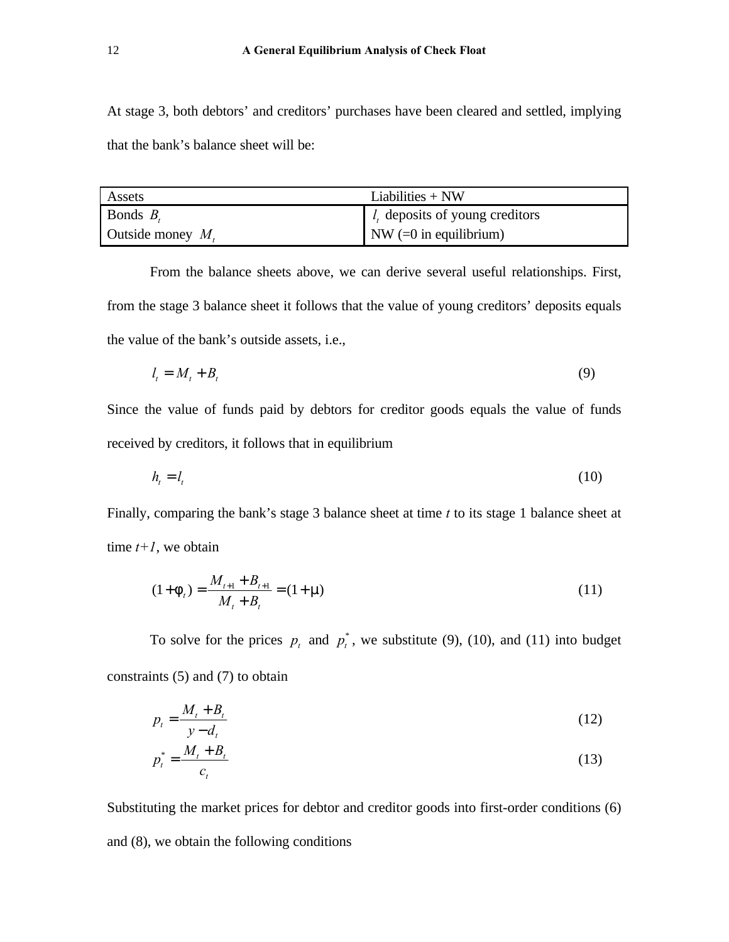At stage 3, both debtors' and creditors' purchases have been cleared and settled, implying that the bank's balance sheet will be:

| Assets               | Liabilities $+$ NW                            |
|----------------------|-----------------------------------------------|
| Bonds $B_{\epsilon}$ | $\mid$ <i>l</i> , deposits of young creditors |
| Outside money $M_t$  | NW $(=0$ in equilibrium)                      |

From the balance sheets above, we can derive several useful relationships. First, from the stage 3 balance sheet it follows that the value of young creditors' deposits equals the value of the bank's outside assets, i.e.,

$$
l_t = M_t + B_t \tag{9}
$$

Since the value of funds paid by debtors for creditor goods equals the value of funds received by creditors, it follows that in equilibrium

$$
h_{i} = l_{i} \tag{10}
$$

Finally, comparing the bank's stage 3 balance sheet at time *t* to its stage 1 balance sheet at time  $t+1$ , we obtain

$$
(1 + ft) = \frac{M_{t+1} + B_{t+1}}{M_t + B_t} = (1 + r)
$$
\n(11)

To solve for the prices  $p_t$  and  $p_t^*$ , we substitute (9), (10), and (11) into budget constraints (5) and (7) to obtain

$$
p_t = \frac{M_t + B_t}{y - d_t} \tag{12}
$$

$$
p_t^* = \frac{M_t + B_t}{c_t} \tag{13}
$$

Substituting the market prices for debtor and creditor goods into first-order conditions (6) and (8), we obtain the following conditions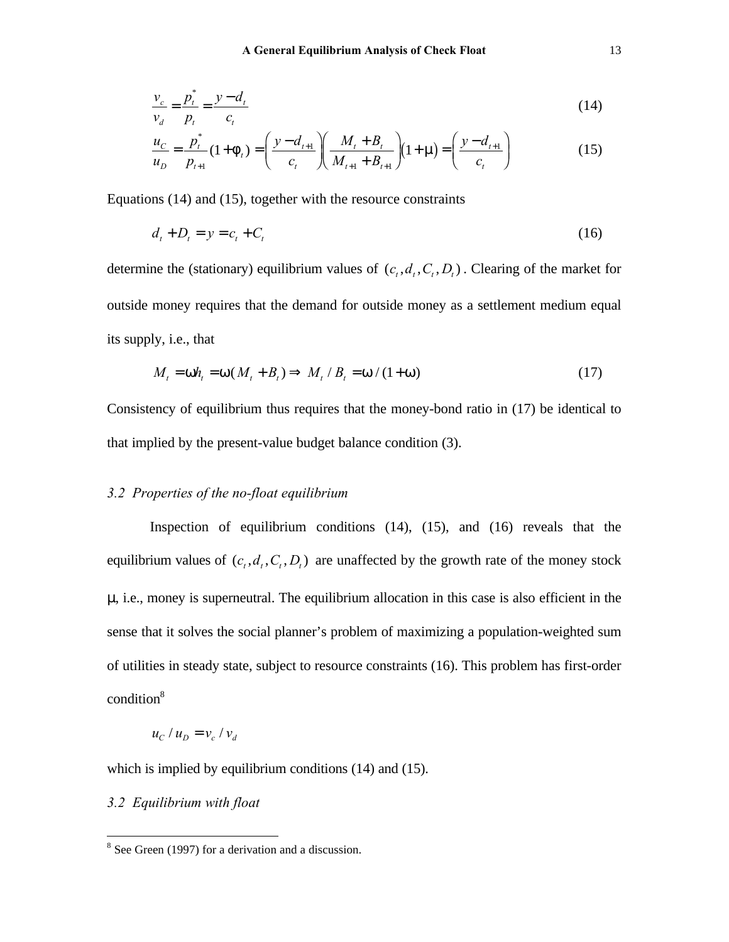$$
\frac{v_c}{v_d} = \frac{p_t^*}{p_t} = \frac{y - d_t}{c_t}
$$
\n(14)

$$
\frac{u_C}{u_D} = \frac{p_t^*}{p_{t+1}} (1 + f_t) = \left(\frac{y - d_{t+1}}{c_t}\right) \left(\frac{M_t + B_t}{M_{t+1} + B_{t+1}}\right) (1 + r) = \left(\frac{y - d_{t+1}}{c_t}\right)
$$
(15)

Equations (14) and (15), together with the resource constraints

$$
d_t + D_t = y = c_t + C_t \tag{16}
$$

determine the (stationary) equilibrium values of  $(c_t, d_t, C_t, D_t)$ . Clearing of the market for outside money requires that the demand for outside money as a settlement medium equal its supply, i.e., that

$$
M_t = \mathsf{W} \mathsf{h}_t = \mathsf{W} \mathsf{M}_t + B_t \mathsf{H} \Rightarrow M_t \mathsf{H}_t = \mathsf{W} \mathsf{W} \mathsf{H} \mathsf{W} \tag{17}
$$

Consistency of equilibrium thus requires that the money-bond ratio in (17) be identical to that implied by the present-value budget balance condition (3).

# *3.2 Properties of the no-float equilibrium*

Inspection of equilibrium conditions (14), (15), and (16) reveals that the equilibrium values of  $(c_t, d_t, C_t, D_t)$  are unaffected by the growth rate of the money stock *m*, i.e., money is superneutral. The equilibrium allocation in this case is also efficient in the sense that it solves the social planner's problem of maximizing a population-weighted sum of utilities in steady state, subject to resource constraints (16). This problem has first-order condition<sup>8</sup>

$$
u_c/u_D = v_c/v_d
$$

which is implied by equilibrium conditions (14) and (15).

#### *3.2 Equilibrium with float*

<sup>&</sup>lt;sup>8</sup> See Green (1997) for a derivation and a discussion.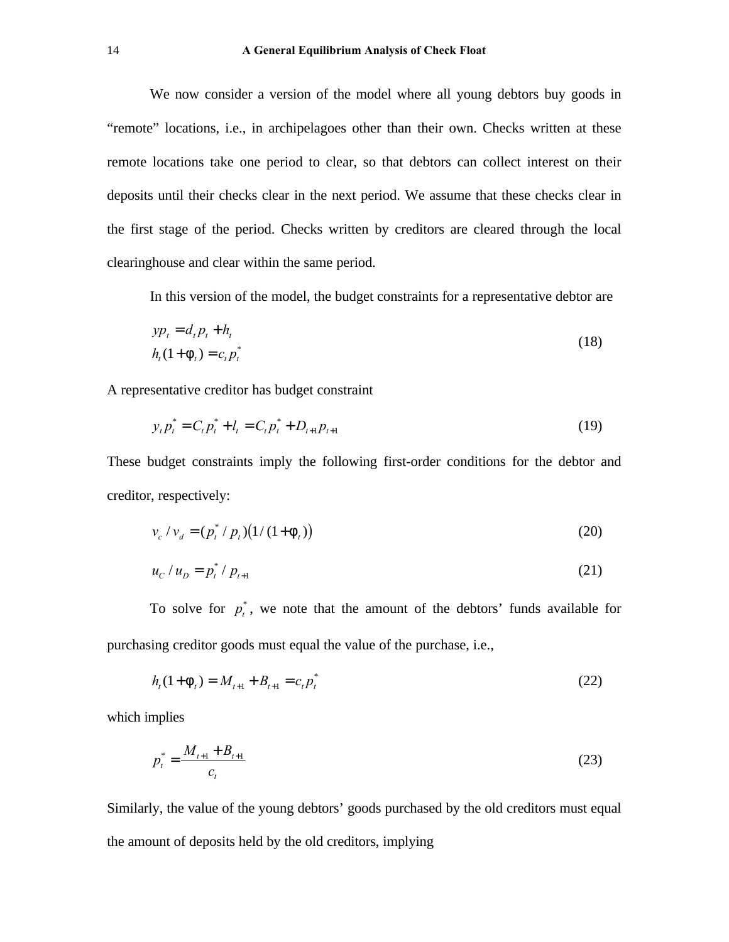We now consider a version of the model where all young debtors buy goods in "remote" locations, i.e., in archipelagoes other than their own. Checks written at these remote locations take one period to clear, so that debtors can collect interest on their deposits until their checks clear in the next period. We assume that these checks clear in the first stage of the period. Checks written by creditors are cleared through the local clearinghouse and clear within the same period.

In this version of the model, the budget constraints for a representative debtor are

$$
yp_t = d_t p_t + h_t
$$
  
\n
$$
h_t(1 + f_t) = c_t p_t^*
$$
\n(18)

A representative creditor has budget constraint

$$
y_t p_t^* = C_t p_t^* + l_t = C_t p_t^* + D_{t+1} p_{t+1}
$$
\n(19)

These budget constraints imply the following first-order conditions for the debtor and creditor, respectively:

$$
v_c / v_d = (p_t^* / p_t) (1/(1 + f_t))
$$
\n(20)

$$
u_c / u_D = p_t^* / p_{t+1}
$$
 (21)

To solve for  $p_t^*$ , we note that the amount of the debtors' funds available for purchasing creditor goods must equal the value of the purchase, i.e.,

$$
h_t(1 + f_t) = M_{t+1} + B_{t+1} = c_t p_t^* \tag{22}
$$

which implies

$$
p_t^* = \frac{M_{t+1} + B_{t+1}}{c_t} \tag{23}
$$

Similarly, the value of the young debtors' goods purchased by the old creditors must equal the amount of deposits held by the old creditors, implying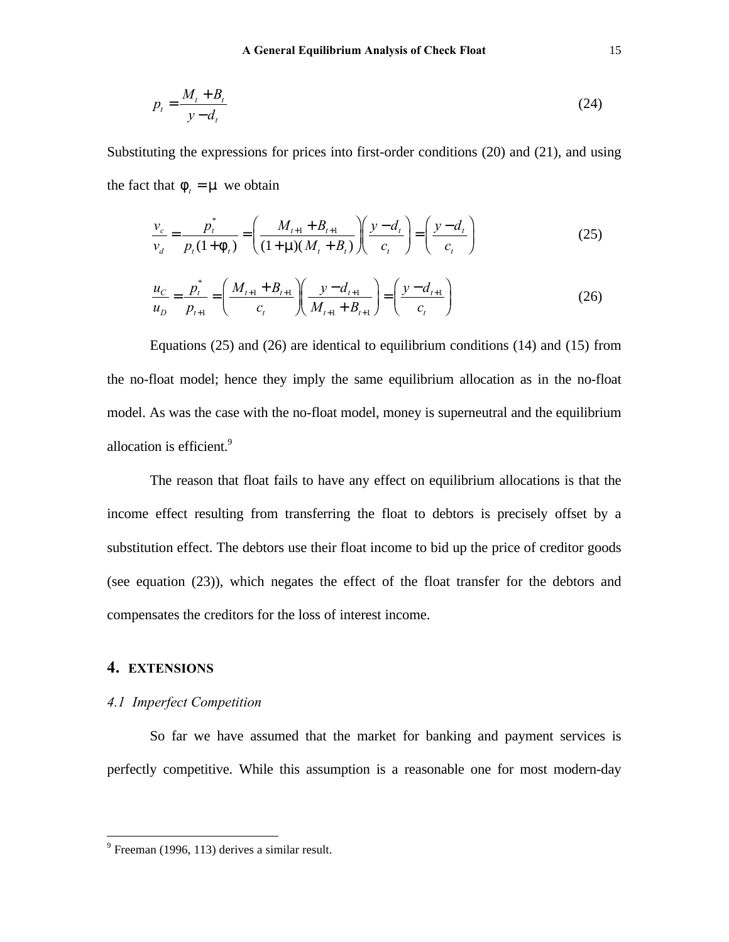$$
p_t = \frac{M_t + B_t}{y - d_t} \tag{24}
$$

Substituting the expressions for prices into first-order conditions (20) and (21), and using the fact that  $f = m$  we obtain

$$
\frac{v_c}{v_d} = \frac{p_t^*}{p_t(1+f_t)} = \left(\frac{M_{t+1} + B_{t+1}}{(1+m)(M_t + B_t)}\right) \left(\frac{y - d_t}{c_t}\right) = \left(\frac{y - d_t}{c_t}\right)
$$
(25)

$$
\frac{u_C}{u_D} = \frac{p_t^*}{p_{t+1}} = \left(\frac{M_{t+1} + B_{t+1}}{c_t}\right) \left(\frac{y - d_{t+1}}{M_{t+1} + B_{t+1}}\right) = \left(\frac{y - d_{t+1}}{c_t}\right)
$$
(26)

Equations (25) and (26) are identical to equilibrium conditions (14) and (15) from the no-float model; hence they imply the same equilibrium allocation as in the no-float model. As was the case with the no-float model, money is superneutral and the equilibrium allocation is efficient.<sup>9</sup>

The reason that float fails to have any effect on equilibrium allocations is that the income effect resulting from transferring the float to debtors is precisely offset by a substitution effect. The debtors use their float income to bid up the price of creditor goods (see equation (23)), which negates the effect of the float transfer for the debtors and compensates the creditors for the loss of interest income.

# **4. EXTENSIONS**

 $\overline{a}$ 

# *4.1 Imperfect Competition*

So far we have assumed that the market for banking and payment services is perfectly competitive. While this assumption is a reasonable one for most modern-day

 $9^9$  Freeman (1996, 113) derives a similar result.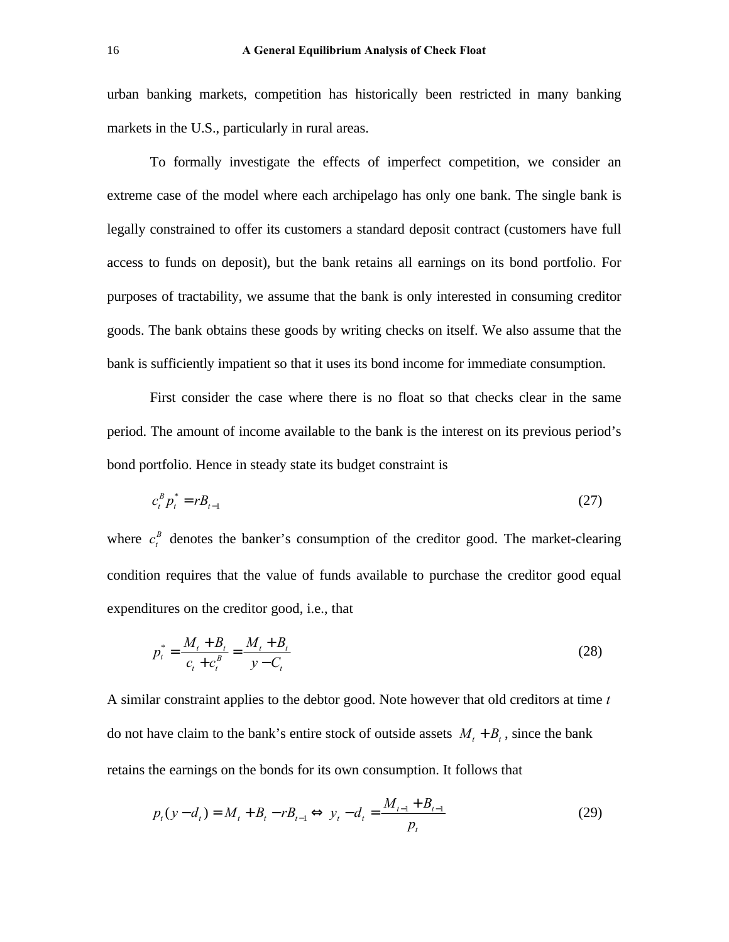urban banking markets, competition has historically been restricted in many banking markets in the U.S., particularly in rural areas.

To formally investigate the effects of imperfect competition, we consider an extreme case of the model where each archipelago has only one bank. The single bank is legally constrained to offer its customers a standard deposit contract (customers have full access to funds on deposit), but the bank retains all earnings on its bond portfolio. For purposes of tractability, we assume that the bank is only interested in consuming creditor goods. The bank obtains these goods by writing checks on itself. We also assume that the bank is sufficiently impatient so that it uses its bond income for immediate consumption.

First consider the case where there is no float so that checks clear in the same period. The amount of income available to the bank is the interest on its previous period's bond portfolio. Hence in steady state its budget constraint is

$$
c_t^B p_t^* = r B_{t-1} \tag{27}
$$

where  $c_t^B$  denotes the banker's consumption of the creditor good. The market-clearing condition requires that the value of funds available to purchase the creditor good equal expenditures on the creditor good, i.e., that

$$
p_t^* = \frac{M_t + B_t}{c_t + c_t^B} = \frac{M_t + B_t}{y - C_t}
$$
\n(28)

A similar constraint applies to the debtor good. Note however that old creditors at time *t* do not have claim to the bank's entire stock of outside assets  $M_t + B_t$ , since the bank retains the earnings on the bonds for its own consumption. It follows that

$$
p_t(y - d_t) = M_t + B_t - rB_{t-1} \Longleftrightarrow y_t - d_t = \frac{M_{t-1} + B_{t-1}}{p_t}
$$
(29)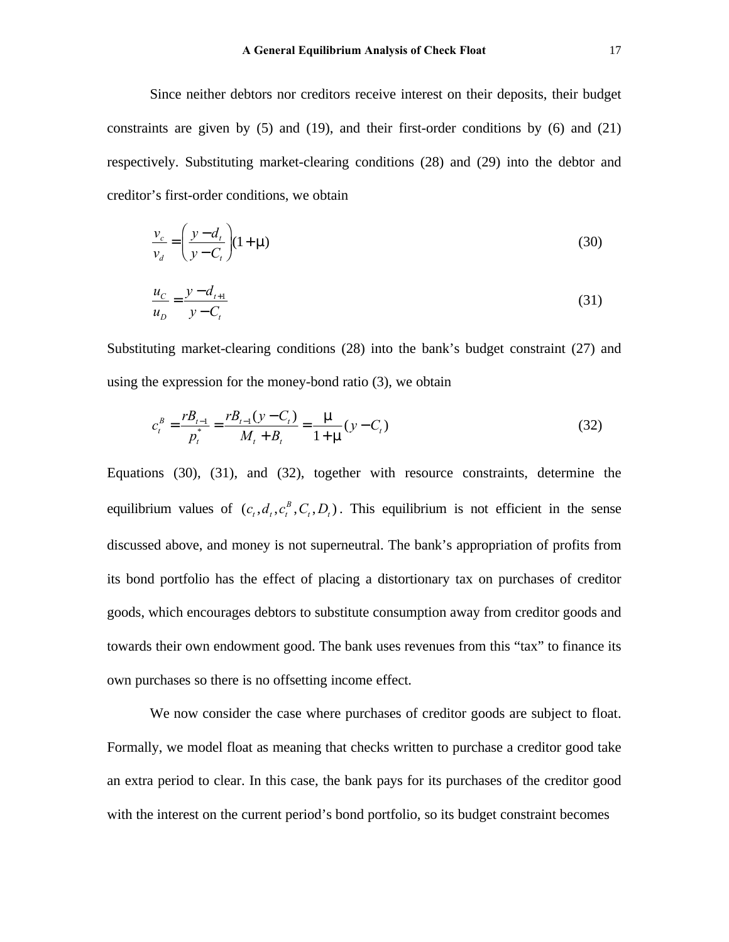Since neither debtors nor creditors receive interest on their deposits, their budget constraints are given by  $(5)$  and  $(19)$ , and their first-order conditions by  $(6)$  and  $(21)$ respectively. Substituting market-clearing conditions (28) and (29) into the debtor and creditor's first-order conditions, we obtain

$$
\frac{v_c}{v_d} = \left(\frac{y - d_t}{y - C_t}\right)(1 + r) \tag{30}
$$

$$
\frac{u_C}{u_D} = \frac{y - d_{t+1}}{y - C_t} \tag{31}
$$

Substituting market-clearing conditions (28) into the bank's budget constraint (27) and using the expression for the money-bond ratio (3), we obtain

$$
c_t^B = \frac{rB_{t-1}}{p_t^*} = \frac{rB_{t-1}(y - C_t)}{M_t + B_t} = \frac{m}{1 + m}(y - C_t)
$$
\n(32)

Equations (30), (31), and (32), together with resource constraints, determine the equilibrium values of  $(c_t, d_t, c_t^B, C_t, D_t)$ *B*  $t_t$ ,  $D_t$ ). This equilibrium is not efficient in the sense discussed above, and money is not superneutral. The bank's appropriation of profits from its bond portfolio has the effect of placing a distortionary tax on purchases of creditor goods, which encourages debtors to substitute consumption away from creditor goods and towards their own endowment good. The bank uses revenues from this "tax" to finance its own purchases so there is no offsetting income effect.

We now consider the case where purchases of creditor goods are subject to float. Formally, we model float as meaning that checks written to purchase a creditor good take an extra period to clear. In this case, the bank pays for its purchases of the creditor good with the interest on the current period's bond portfolio, so its budget constraint becomes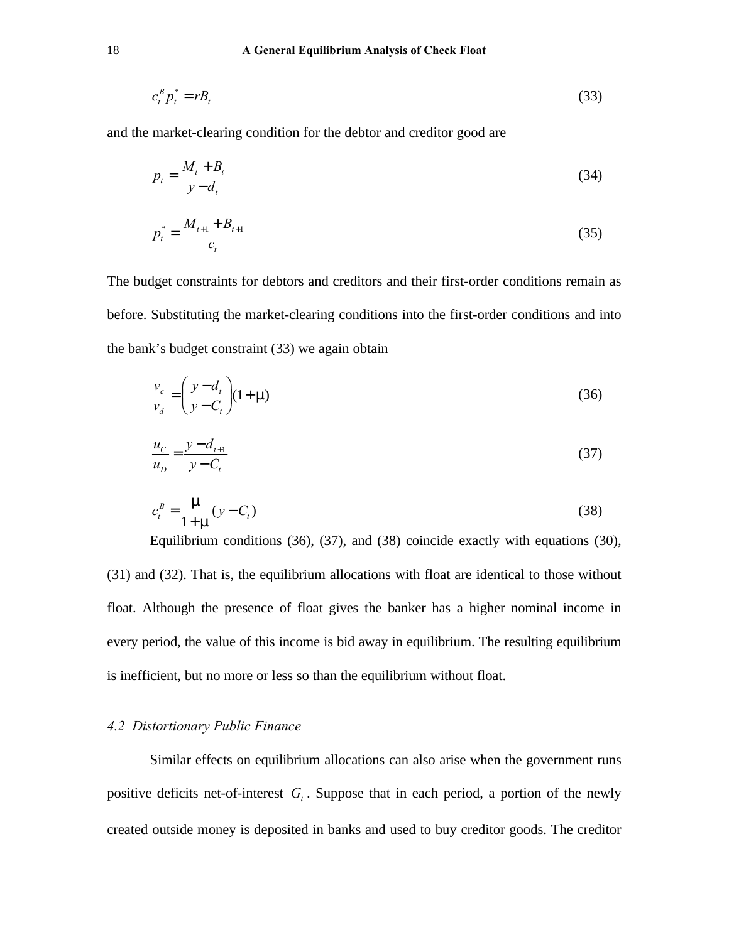$$
c_t^B p_t^* = r B_t \tag{33}
$$

and the market-clearing condition for the debtor and creditor good are

$$
p_t = \frac{M_t + B_t}{y - d_t} \tag{34}
$$

$$
p_t^* = \frac{M_{t+1} + B_{t+1}}{c_t} \tag{35}
$$

The budget constraints for debtors and creditors and their first-order conditions remain as before. Substituting the market-clearing conditions into the first-order conditions and into the bank's budget constraint (33) we again obtain

$$
\frac{v_c}{v_d} = \left(\frac{y - d_t}{y - C_t}\right)(1 + r) \tag{36}
$$

$$
\frac{u_C}{u_D} = \frac{y - d_{t+1}}{y - C_t} \tag{37}
$$

$$
c_t^B = \frac{m}{1+m}(y - C_t)
$$
 (38)

Equilibrium conditions (36), (37), and (38) coincide exactly with equations (30), (31) and (32). That is, the equilibrium allocations with float are identical to those without float. Although the presence of float gives the banker has a higher nominal income in every period, the value of this income is bid away in equilibrium. The resulting equilibrium is inefficient, but no more or less so than the equilibrium without float.

## *4.2 Distortionary Public Finance*

Similar effects on equilibrium allocations can also arise when the government runs positive deficits net-of-interest *G<sup>t</sup>* . Suppose that in each period, a portion of the newly created outside money is deposited in banks and used to buy creditor goods. The creditor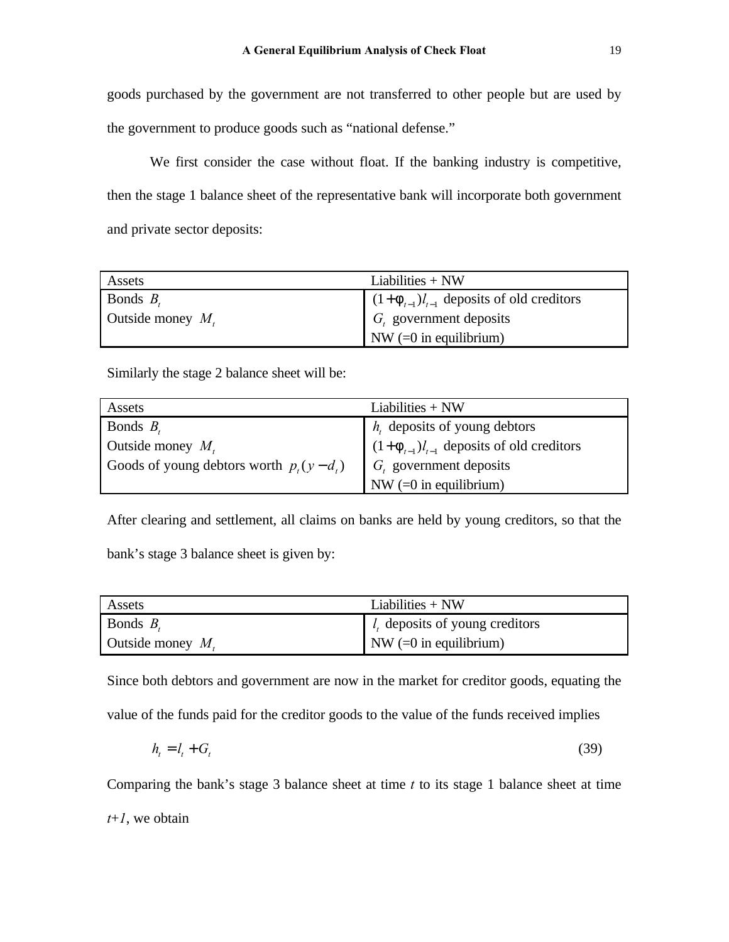goods purchased by the government are not transferred to other people but are used by the government to produce goods such as "national defense."

We first consider the case without float. If the banking industry is competitive, then the stage 1 balance sheet of the representative bank will incorporate both government and private sector deposits:

| Assets                                      | Liabilities $+$ NW                             |
|---------------------------------------------|------------------------------------------------|
| Bonds $B_{\epsilon}$                        | $(1+f_{t-1})l_{t-1}$ deposits of old creditors |
| Outside money $M_{\scriptscriptstyle\star}$ | $G_t$ government deposits                      |
|                                             | NW $(=0$ in equilibrium)                       |

Similarly the stage 2 balance sheet will be:

| Assets                                    | Liabilities $+$ NW                             |
|-------------------------------------------|------------------------------------------------|
| Bonds $B_t$                               | $h_t$ deposits of young debtors                |
| Outside money $M_t$                       | $(1+f_{t-1})l_{t-1}$ deposits of old creditors |
| Goods of young debtors worth $p_t(y-d_t)$ | $G_t$ government deposits                      |
|                                           | NW $(=0$ in equilibrium)                       |

After clearing and settlement, all claims on banks are held by young creditors, so that the bank's stage 3 balance sheet is given by:

| Assets              | Liabilities $+$ NW                  |
|---------------------|-------------------------------------|
| Bonds $Br$          | $l_{t}$ deposits of young creditors |
| Outside money $M_t$ | $\sum$ NW (=0 in equilibrium)       |

Since both debtors and government are now in the market for creditor goods, equating the value of the funds paid for the creditor goods to the value of the funds received implies

$$
h_t = l_t + G_t \tag{39}
$$

Comparing the bank's stage 3 balance sheet at time *t* to its stage 1 balance sheet at time *t*+*1*, we obtain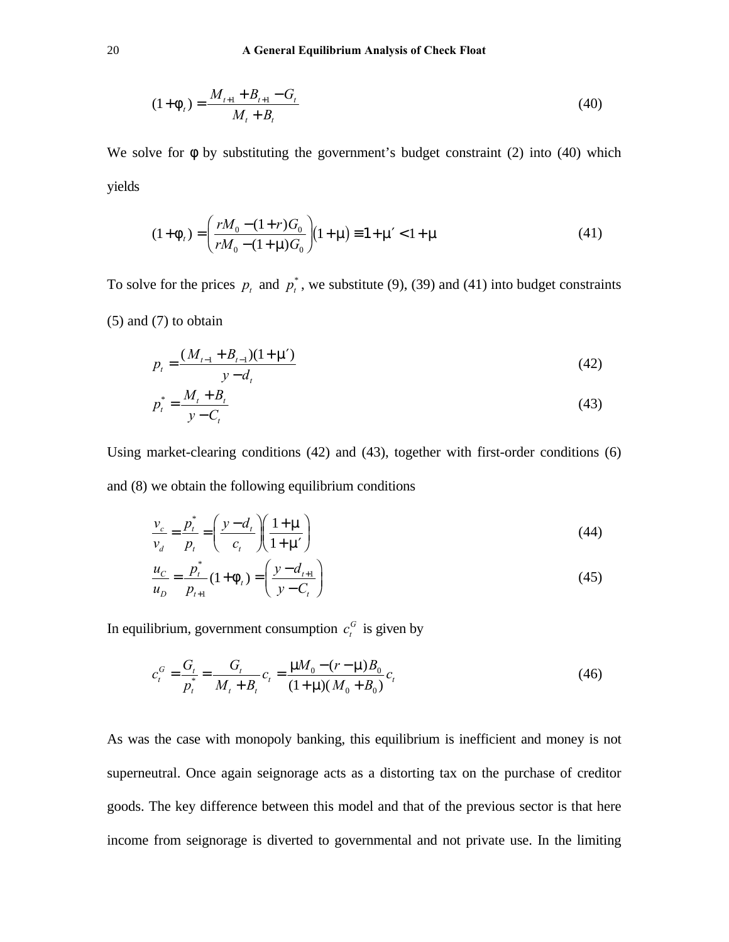$$
(1 + f_{t}) = \frac{M_{t+1} + B_{t+1} - G_{t}}{M_{t} + B_{t}}
$$
\n(40)

We solve for f by substituting the government's budget constraint (2) into (40) which yields

$$
(1 + ft) = \left(\frac{rM_0 - (1+r)G_0}{rM_0 - (1+r)G_0}\right)(1 + r) = 1 + rK < 1 + r
$$
\n(41)

To solve for the prices  $p_t$  and  $p_t^*$ , we substitute (9), (39) and (41) into budget constraints (5) and (7) to obtain

$$
p_t = \frac{(M_{t-1} + B_{t-1})(1 + \text{m})}{y - d_t} \tag{42}
$$

$$
p_t^* = \frac{M_t + B_t}{y - C_t}
$$
 (43)

Using market-clearing conditions (42) and (43), together with first-order conditions (6) and (8) we obtain the following equilibrium conditions

$$
\frac{v_c}{v_d} = \frac{p_t^*}{p_t} = \left(\frac{y - d_t}{c_t}\right)\left(\frac{1 + m}{1 + m}\right)
$$
\n(44)

$$
\frac{u_C}{u_D} = \frac{p_t^*}{p_{t+1}} (1 + f_t) = \left(\frac{y - d_{t+1}}{y - C_t}\right)
$$
(45)

In equilibrium, government consumption  $c_t^G$  is given by

$$
c_t^G = \frac{G_t}{p_t^*} = \frac{G_t}{M_t + B_t} c_t = \frac{mM_0 - (r - m)B_0}{(1 + m)(M_0 + B_0)} c_t
$$
\n(46)

As was the case with monopoly banking, this equilibrium is inefficient and money is not superneutral. Once again seignorage acts as a distorting tax on the purchase of creditor goods. The key difference between this model and that of the previous sector is that here income from seignorage is diverted to governmental and not private use. In the limiting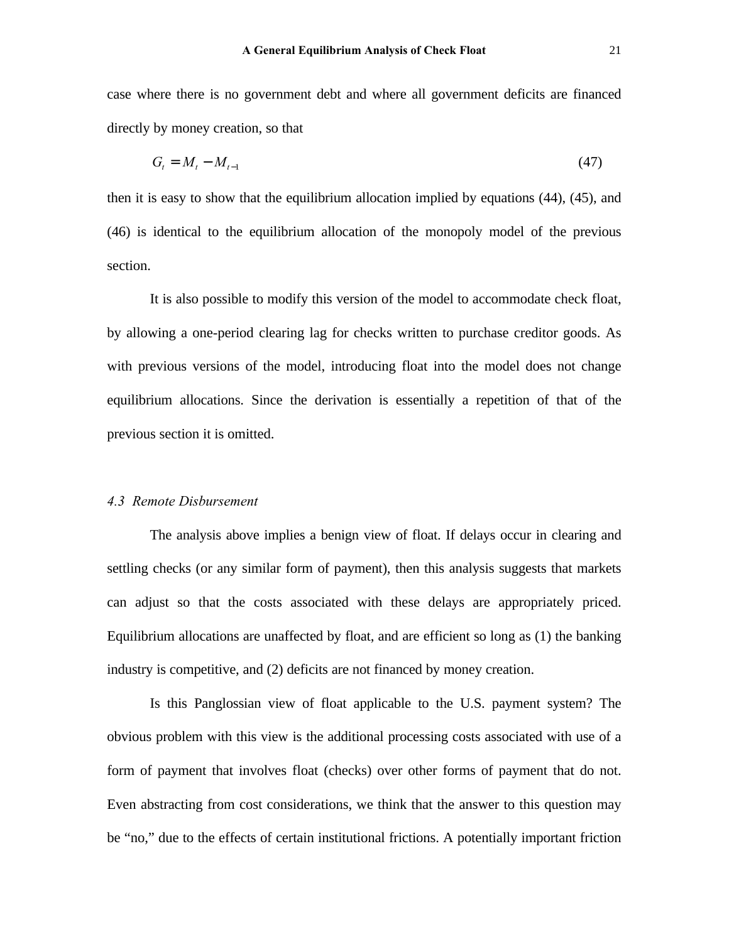case where there is no government debt and where all government deficits are financed directly by money creation, so that

$$
G_t = M_t - M_{t-1} \tag{47}
$$

then it is easy to show that the equilibrium allocation implied by equations (44), (45), and (46) is identical to the equilibrium allocation of the monopoly model of the previous section.

It is also possible to modify this version of the model to accommodate check float, by allowing a one-period clearing lag for checks written to purchase creditor goods. As with previous versions of the model, introducing float into the model does not change equilibrium allocations. Since the derivation is essentially a repetition of that of the previous section it is omitted.

#### *4.3 Remote Disbursement*

The analysis above implies a benign view of float. If delays occur in clearing and settling checks (or any similar form of payment), then this analysis suggests that markets can adjust so that the costs associated with these delays are appropriately priced. Equilibrium allocations are unaffected by float, and are efficient so long as (1) the banking industry is competitive, and (2) deficits are not financed by money creation.

Is this Panglossian view of float applicable to the U.S. payment system? The obvious problem with this view is the additional processing costs associated with use of a form of payment that involves float (checks) over other forms of payment that do not. Even abstracting from cost considerations, we think that the answer to this question may be "no," due to the effects of certain institutional frictions. A potentially important friction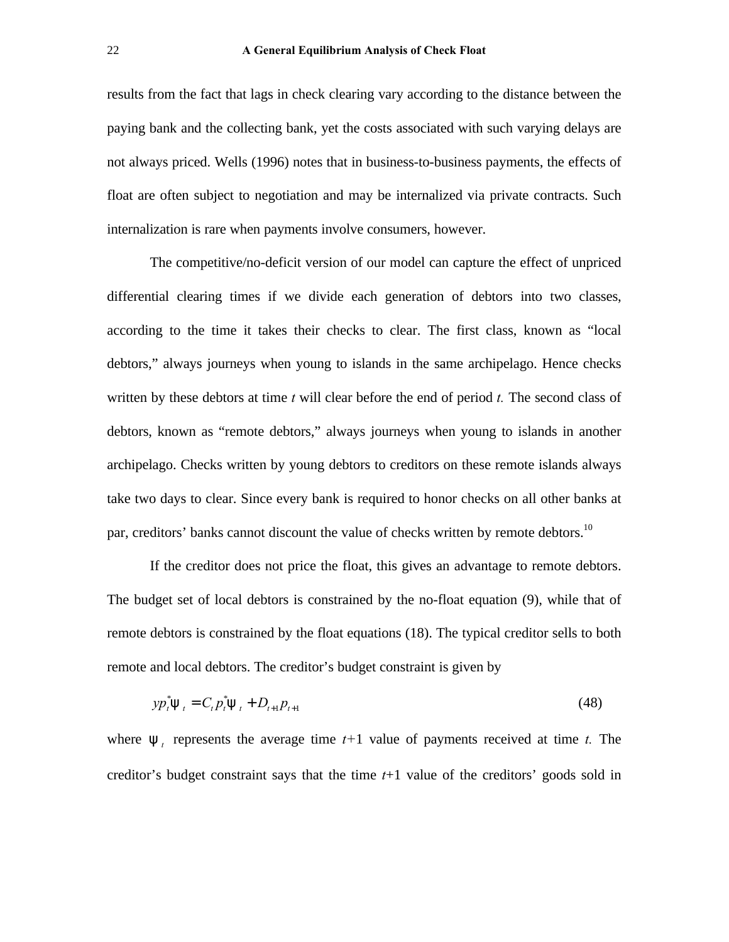results from the fact that lags in check clearing vary according to the distance between the paying bank and the collecting bank, yet the costs associated with such varying delays are not always priced. Wells (1996) notes that in business-to-business payments, the effects of float are often subject to negotiation and may be internalized via private contracts. Such internalization is rare when payments involve consumers, however.

The competitive/no-deficit version of our model can capture the effect of unpriced differential clearing times if we divide each generation of debtors into two classes, according to the time it takes their checks to clear. The first class, known as "local debtors," always journeys when young to islands in the same archipelago. Hence checks written by these debtors at time *t* will clear before the end of period *t.* The second class of debtors, known as "remote debtors," always journeys when young to islands in another archipelago. Checks written by young debtors to creditors on these remote islands always take two days to clear. Since every bank is required to honor checks on all other banks at par, creditors' banks cannot discount the value of checks written by remote debtors.<sup>10</sup>

If the creditor does not price the float, this gives an advantage to remote debtors. The budget set of local debtors is constrained by the no-float equation (9), while that of remote debtors is constrained by the float equations (18). The typical creditor sells to both remote and local debtors. The creditor's budget constraint is given by

$$
yp_{t}^{*}y_{t} = C_{t}p_{t}^{*}y_{t} + D_{t+1}p_{t+1}
$$
\n(48)

where  $y_t$  represents the average time  $t+1$  value of payments received at time  $t$ . The creditor's budget constraint says that the time *t*+1 value of the creditors' goods sold in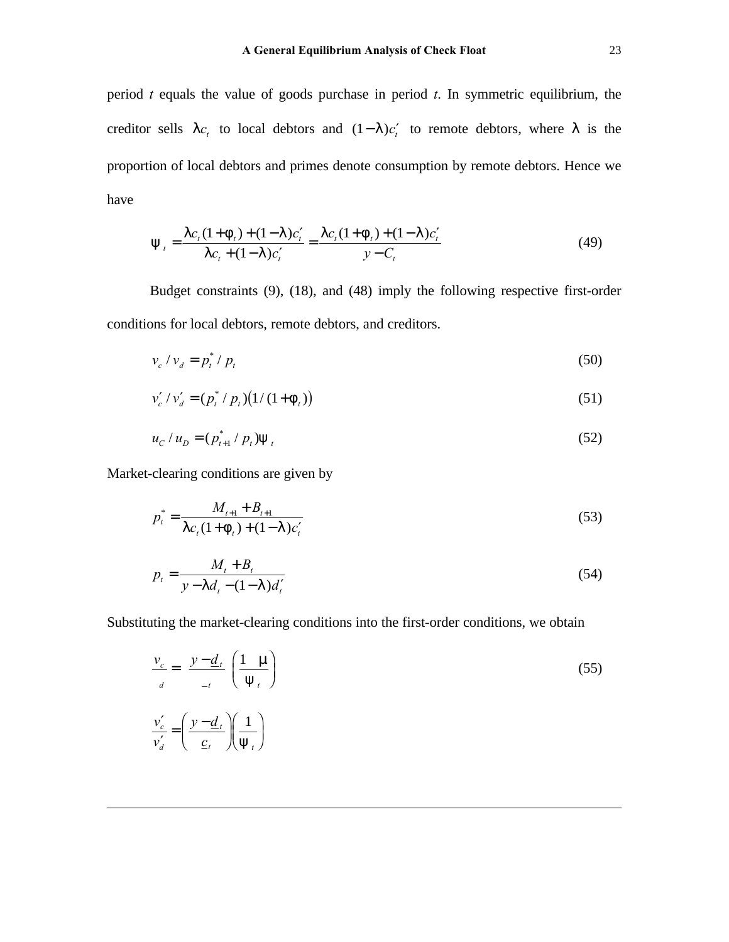period *t* equals the value of goods purchase in period *t*. In symmetric equilibrium, the creditor sells  $\mid c_t$  to local debtors and  $(1-\mid c_t')$  to remote debtors, where  $\mid$  is the proportion of local debtors and primes denote consumption by remote debtors. Hence we have

$$
y_{t} = \frac{c_{t}(1 + f_{t}) + (1 - 1)c_{t}'}{c_{t} + (1 - 1)c_{t}'} = \frac{c_{t}(1 + f_{t}) + (1 - 1)c_{t}'}{y - C_{t}}
$$
(49)

Budget constraints (9), (18), and (48) imply the following respective first-order conditions for local debtors, remote debtors, and creditors.

$$
v_c / v_d = p_t^* / p_t \tag{50}
$$

$$
v'_{c}/v'_{d} = (p_{t}^{*}/p_{t})(1/(1+f_{t}))
$$
\n(51)

$$
u_c / u_D = (p_{t+1}^* / p_t) y_t
$$
 (52)

Market-clearing conditions are given by

$$
p_t^* = \frac{M_{t+1} + B_{t+1}}{\left| c_t (1 + f_t) + (1 - 1) c_t' \right|} \tag{53}
$$

$$
p_t = \frac{M_t + B_t}{y - 1 \, d_t - (1 - 1) \, d'_t} \tag{54}
$$

Substituting the market-clearing conditions into the first-order conditions, we obtain

$$
\frac{v_c}{d} = \frac{y - \underline{d}_t}{-t} \left(\frac{1}{y_t}\right)
$$
\n
$$
\frac{v_c'}{v_d'} = \left(\frac{y - \underline{d}_t}{\underline{c}_t}\right) \left(\frac{1}{y_t}\right)
$$
\n(55)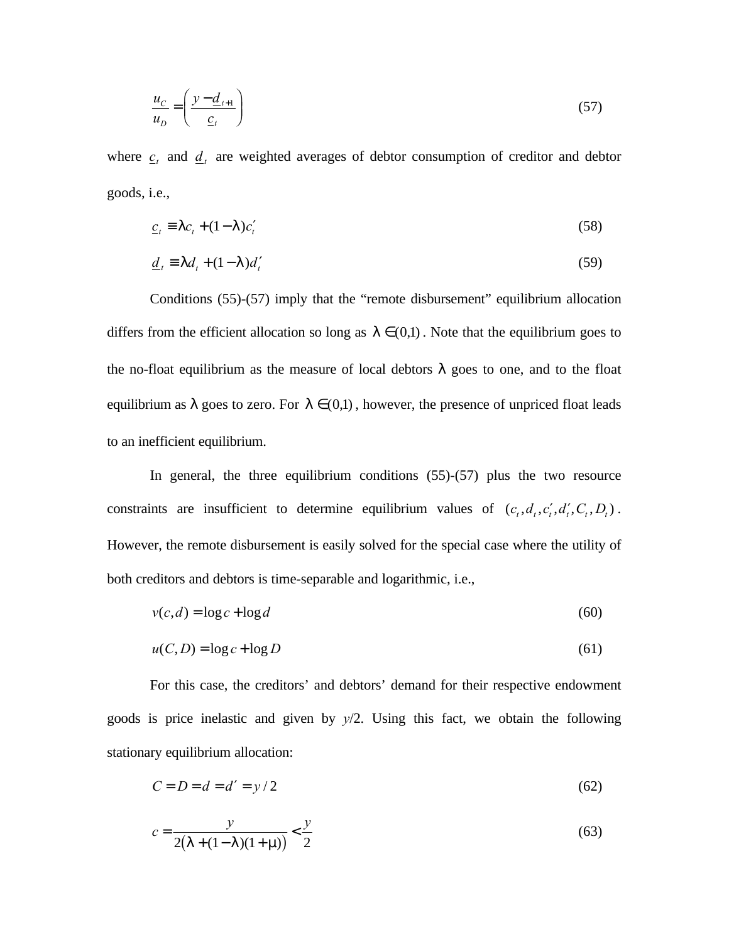$$
\frac{u_C}{u_D} = \left(\frac{y - \underline{d}_{t+1}}{\underline{c}_t}\right) \tag{57}
$$

where  $c_t$  and  $d_t$  are weighted averages of debtor consumption of creditor and debtor goods, i.e.,

$$
\underline{c}_t \equiv | \ c_t + (1 - 1) c'_t \tag{58}
$$

$$
\underline{d}_t \equiv | d_t + (1 - 1) d'_t \tag{59}
$$

Conditions (55)-(57) imply that the "remote disbursement" equilibrium allocation differs from the efficient allocation so long as  $| \in (0,1)$ . Note that the equilibrium goes to the no-float equilibrium as the measure of local debtors *l* goes to one, and to the float equilibrium as *l* goes to zero. For  $l \in (0,1)$ , however, the presence of unpriced float leads to an inefficient equilibrium.

In general, the three equilibrium conditions (55)-(57) plus the two resource constraints are insufficient to determine equilibrium values of  $(c_t, d_t, c_t', d_t', C_t, D_t)$ . However, the remote disbursement is easily solved for the special case where the utility of both creditors and debtors is time-separable and logarithmic, i.e.,

$$
v(c,d) = \log c + \log d \tag{60}
$$

$$
u(C, D) = \log c + \log D \tag{61}
$$

For this case, the creditors' and debtors' demand for their respective endowment goods is price inelastic and given by *y*/2. Using this fact, we obtain the following stationary equilibrium allocation:

$$
C = D = d = d' = y/2
$$
\n(62)

$$
c = \frac{y}{2(1 + (1 - 1)(1 + \text{m}))} < \frac{y}{2}
$$
\n(63)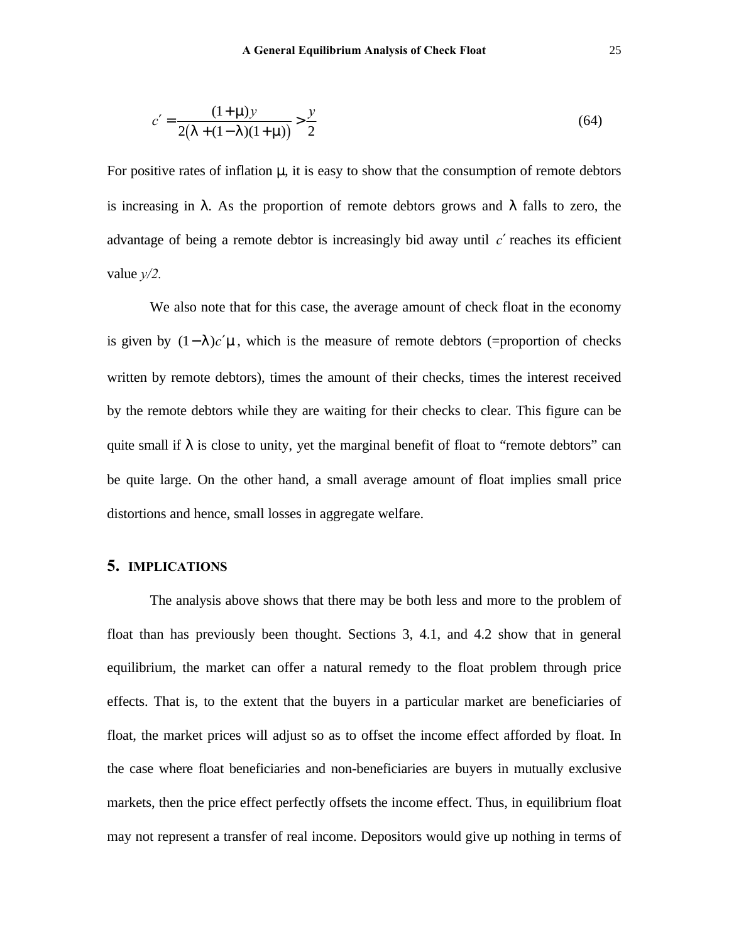$$
c' = \frac{(1+\mathsf{m})y}{2(1+(1-1)(1+\mathsf{m}))} > \frac{y}{2}
$$
\n(64)

For positive rates of inflation *m*, it is easy to show that the consumption of remote debtors is increasing in *l* . As the proportion of remote debtors grows and *l* falls to zero, the advantage of being a remote debtor is increasingly bid away until *c*′ reaches its efficient value *y/2.*

We also note that for this case, the average amount of check float in the economy is given by (1− *l* )*c*′*m*, which is the measure of remote debtors (=proportion of checks written by remote debtors), times the amount of their checks, times the interest received by the remote debtors while they are waiting for their checks to clear. This figure can be quite small if *l* is close to unity, yet the marginal benefit of float to "remote debtors" can be quite large. On the other hand, a small average amount of float implies small price distortions and hence, small losses in aggregate welfare.

## **5. IMPLICATIONS**

The analysis above shows that there may be both less and more to the problem of float than has previously been thought. Sections 3, 4.1, and 4.2 show that in general equilibrium, the market can offer a natural remedy to the float problem through price effects. That is, to the extent that the buyers in a particular market are beneficiaries of float, the market prices will adjust so as to offset the income effect afforded by float. In the case where float beneficiaries and non-beneficiaries are buyers in mutually exclusive markets, then the price effect perfectly offsets the income effect. Thus, in equilibrium float may not represent a transfer of real income. Depositors would give up nothing in terms of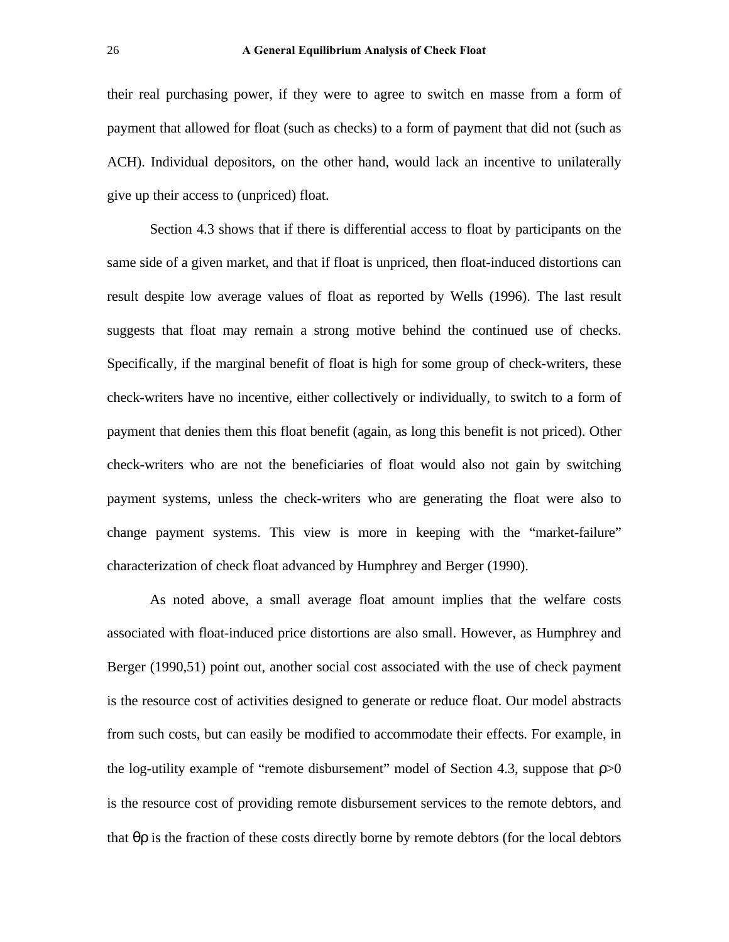their real purchasing power, if they were to agree to switch en masse from a form of payment that allowed for float (such as checks) to a form of payment that did not (such as ACH). Individual depositors, on the other hand, would lack an incentive to unilaterally give up their access to (unpriced) float.

Section 4.3 shows that if there is differential access to float by participants on the same side of a given market, and that if float is unpriced, then float-induced distortions can result despite low average values of float as reported by Wells (1996). The last result suggests that float may remain a strong motive behind the continued use of checks. Specifically, if the marginal benefit of float is high for some group of check-writers, these check-writers have no incentive, either collectively or individually, to switch to a form of payment that denies them this float benefit (again, as long this benefit is not priced). Other check-writers who are not the beneficiaries of float would also not gain by switching payment systems, unless the check-writers who are generating the float were also to change payment systems. This view is more in keeping with the "market-failure" characterization of check float advanced by Humphrey and Berger (1990).

As noted above, a small average float amount implies that the welfare costs associated with float-induced price distortions are also small. However, as Humphrey and Berger (1990,51) point out, another social cost associated with the use of check payment is the resource cost of activities designed to generate or reduce float. Our model abstracts from such costs, but can easily be modified to accommodate their effects. For example, in the log-utility example of "remote disbursement" model of Section 4.3, suppose that *r*>0 is the resource cost of providing remote disbursement services to the remote debtors, and that *qr* is the fraction of these costs directly borne by remote debtors (for the local debtors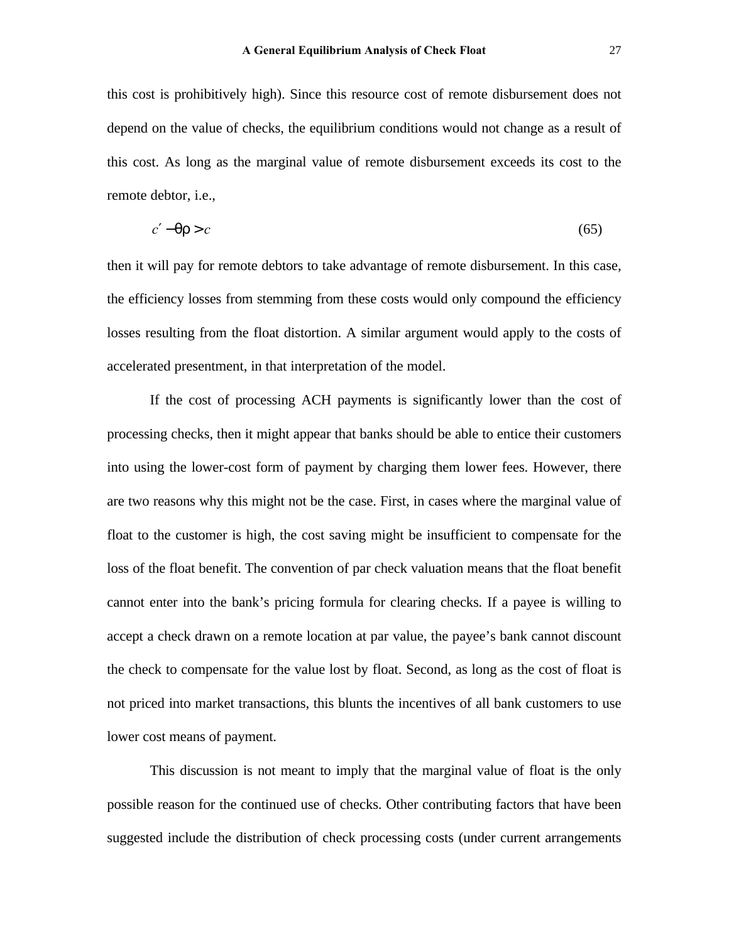this cost is prohibitively high). Since this resource cost of remote disbursement does not depend on the value of checks, the equilibrium conditions would not change as a result of this cost. As long as the marginal value of remote disbursement exceeds its cost to the remote debtor, i.e.,

$$
c' - qr > c \tag{65}
$$

then it will pay for remote debtors to take advantage of remote disbursement. In this case, the efficiency losses from stemming from these costs would only compound the efficiency losses resulting from the float distortion. A similar argument would apply to the costs of accelerated presentment, in that interpretation of the model.

If the cost of processing ACH payments is significantly lower than the cost of processing checks, then it might appear that banks should be able to entice their customers into using the lower-cost form of payment by charging them lower fees. However, there are two reasons why this might not be the case. First, in cases where the marginal value of float to the customer is high, the cost saving might be insufficient to compensate for the loss of the float benefit. The convention of par check valuation means that the float benefit cannot enter into the bank's pricing formula for clearing checks. If a payee is willing to accept a check drawn on a remote location at par value, the payee's bank cannot discount the check to compensate for the value lost by float. Second, as long as the cost of float is not priced into market transactions, this blunts the incentives of all bank customers to use lower cost means of payment.

This discussion is not meant to imply that the marginal value of float is the only possible reason for the continued use of checks. Other contributing factors that have been suggested include the distribution of check processing costs (under current arrangements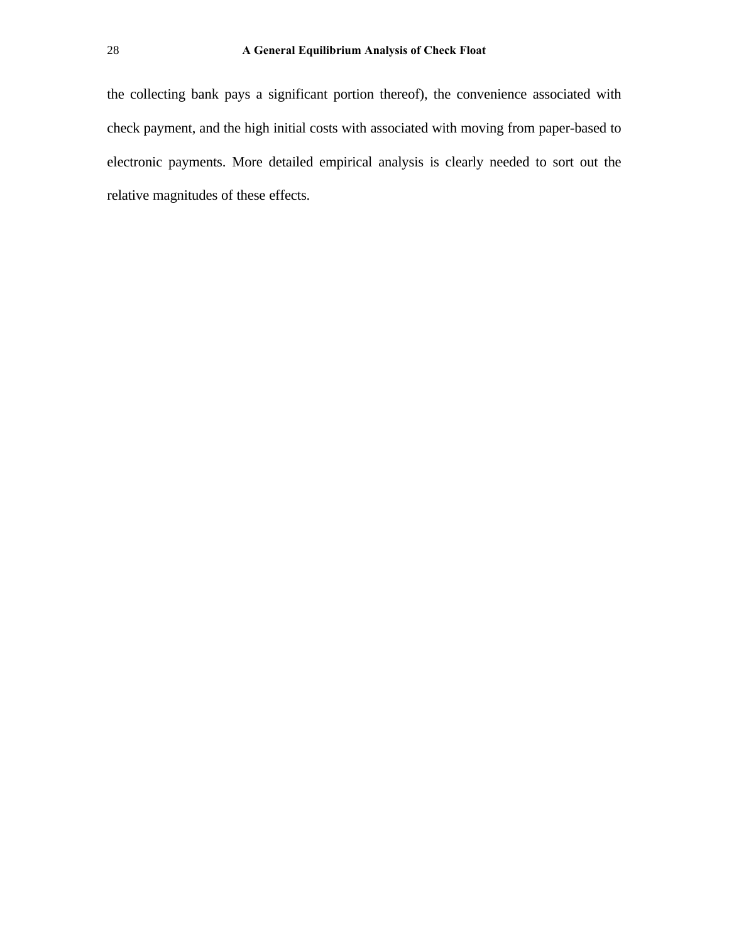the collecting bank pays a significant portion thereof), the convenience associated with check payment, and the high initial costs with associated with moving from paper-based to electronic payments. More detailed empirical analysis is clearly needed to sort out the relative magnitudes of these effects.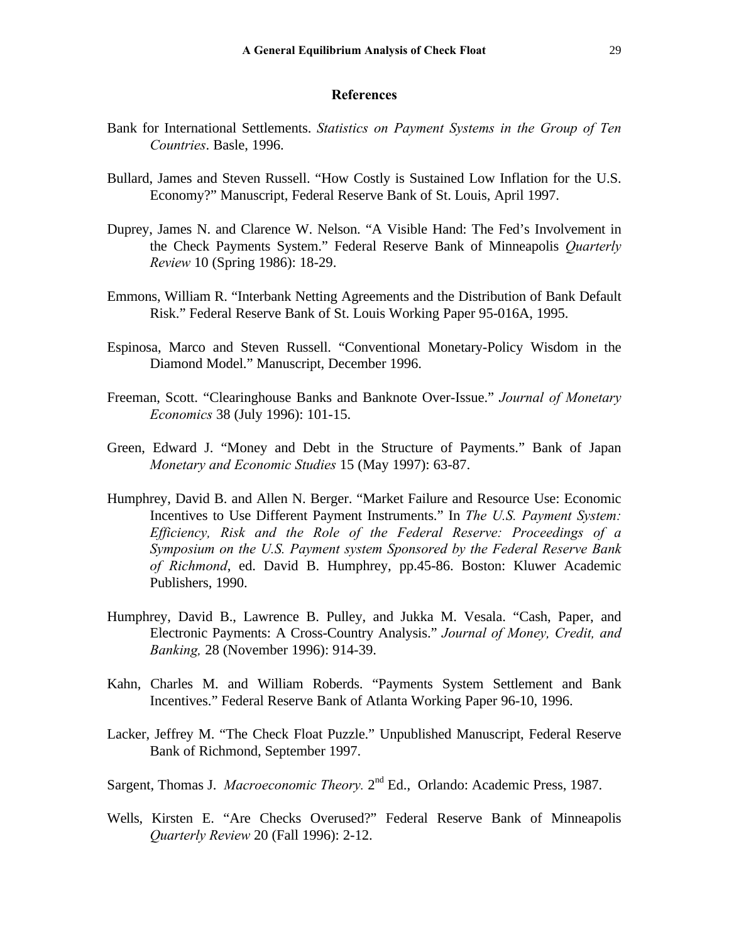#### **References**

- Bank for International Settlements. *Statistics on Payment Systems in the Group of Ten Countries*. Basle, 1996.
- Bullard, James and Steven Russell. "How Costly is Sustained Low Inflation for the U.S. Economy?" Manuscript, Federal Reserve Bank of St. Louis, April 1997.
- Duprey, James N. and Clarence W. Nelson. "A Visible Hand: The Fed's Involvement in the Check Payments System." Federal Reserve Bank of Minneapolis *Quarterly Review* 10 (Spring 1986): 18-29.
- Emmons, William R. "Interbank Netting Agreements and the Distribution of Bank Default Risk." Federal Reserve Bank of St. Louis Working Paper 95-016A, 1995.
- Espinosa, Marco and Steven Russell. "Conventional Monetary-Policy Wisdom in the Diamond Model." Manuscript, December 1996.
- Freeman, Scott. "Clearinghouse Banks and Banknote Over-Issue." *Journal of Monetary Economics* 38 (July 1996): 101-15.
- Green, Edward J. "Money and Debt in the Structure of Payments." Bank of Japan *Monetary and Economic Studies* 15 (May 1997): 63-87.
- Humphrey, David B. and Allen N. Berger. "Market Failure and Resource Use: Economic Incentives to Use Different Payment Instruments." In *The U.S. Payment System: Efficiency, Risk and the Role of the Federal Reserve: Proceedings of a Symposium on the U.S. Payment system Sponsored by the Federal Reserve Bank of Richmond*, ed. David B. Humphrey, pp.45-86. Boston: Kluwer Academic Publishers, 1990.
- Humphrey, David B., Lawrence B. Pulley, and Jukka M. Vesala. "Cash, Paper, and Electronic Payments: A Cross-Country Analysis." *Journal of Money, Credit, and Banking,* 28 (November 1996): 914-39.
- Kahn, Charles M. and William Roberds. "Payments System Settlement and Bank Incentives." Federal Reserve Bank of Atlanta Working Paper 96-10, 1996.
- Lacker, Jeffrey M. "The Check Float Puzzle." Unpublished Manuscript, Federal Reserve Bank of Richmond, September 1997.
- Sargent, Thomas J. *Macroeconomic Theory*. 2<sup>nd</sup> Ed., Orlando: Academic Press, 1987.
- Wells, Kirsten E. "Are Checks Overused?" Federal Reserve Bank of Minneapolis *Quarterly Review* 20 (Fall 1996): 2-12.